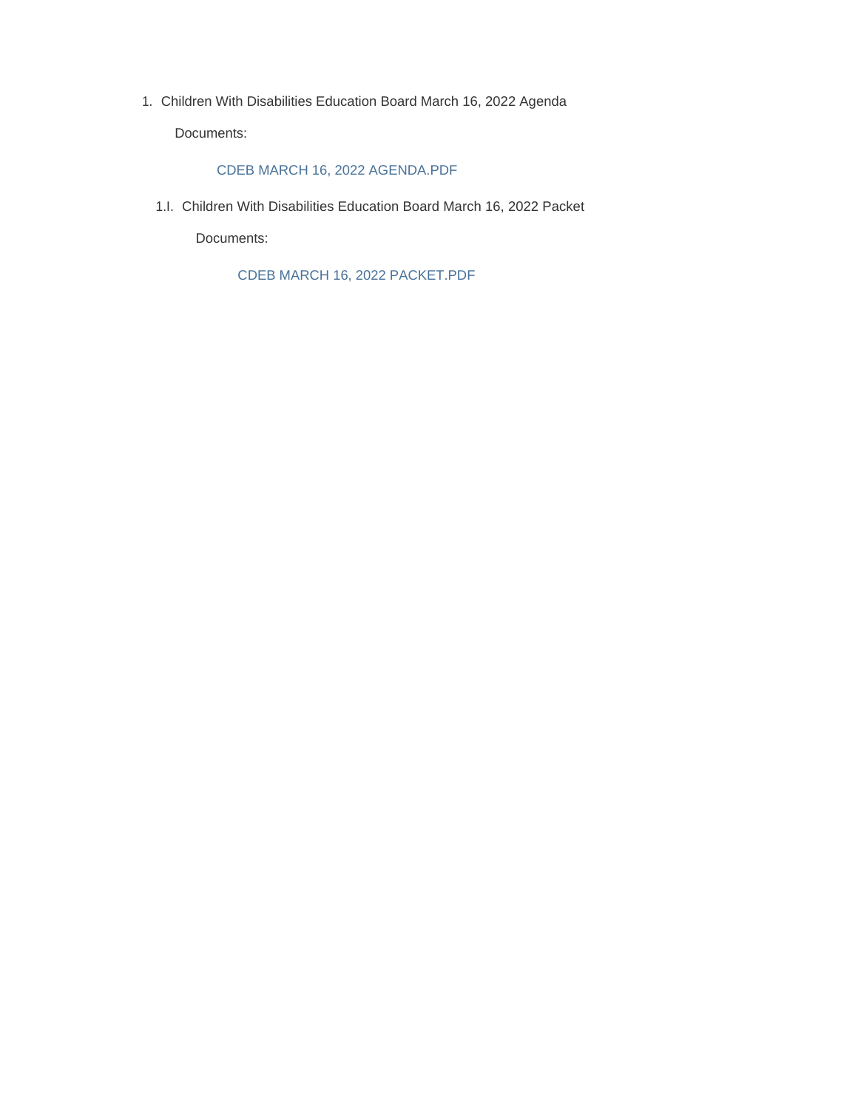Children With Disabilities Education Board March 16, 2022 Agenda 1.

Documents:

### CDEB MARCH 16, 2022 AGENDA.PDF

Children With Disabilities Education Board March 16, 2022 Packet 1.I.

Documents:

CDEB MARCH 16, 2022 PACKET.PDF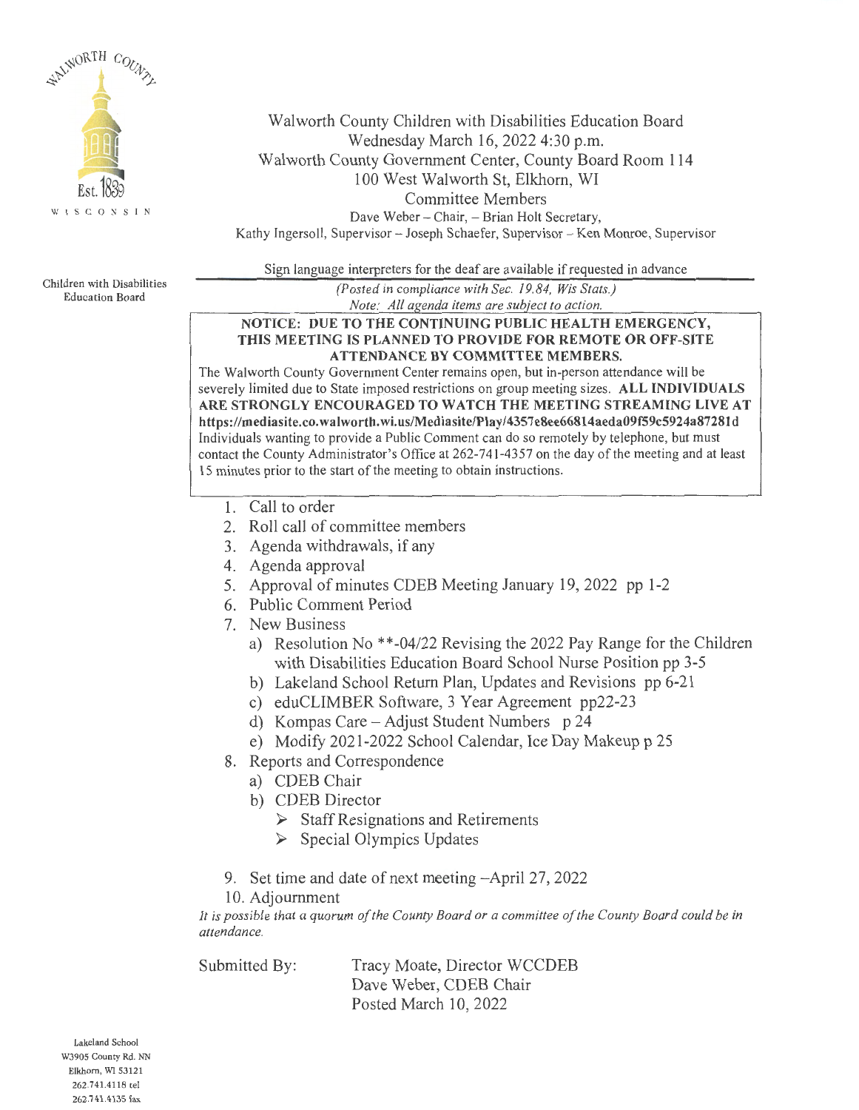

Walworth County Children with Disabilities Education Board Wednesday March 16, 2022 4:30 p.m. Walworth County Government Center, County Board Room 114 100 West Walworth St, Elkhorn, WI Committee Members Dave Weber - Chair, - Brian Holt Secretary, Kathy Ingersoll, Supervisor - Joseph Schaefer, Supervisor - Ken Monroe, Supervisor

Sign language interpreters for the deaf are available if requested in advance

Children with Disabilities Education Board

*(Posted in compliance with Sec. 19.84, Wis Stats.) Note: All agenda items are subject to action.* 

### **NOTICE: DUE TO THE CONTINUING PUBLIC HEALTH EMERGENCY, THIS MEETING IS PLANNED TO PROVIDE FOR REMOTE OR OFF-SITE ATTENDANCE BY COMMITTEE MEMBERS.**

The Walworth County Government Center remains open, but in-person attendance will be severely limited due to State imposed restrictions on group meeting sizes. **ALL INDIVIDUALS ARE STRONGLY ENCOURAGED TO WATCH THE MEETING STREAMING LIVE AT https://mediasite.co.walworth.wi.us/Mediasite/Play/4357e8ee66814aeda09f59c5924a8728ld**  Individuals wanting to provide a Public Comment can do so remotely by telephone, but must contact the County Administrator's Office at 262-741-4357 on the day of the meeting and at least 15 minutes prior to the start of the meeting to obtain instructions.

- 1. Call to order
- 2. Roll call of committee members
- 3. Agenda withdrawals, if any
- 4. Agenda approval
- 5. Approval of minutes CDEB Meeting January 19, 2022 pp 1-2
- 6. Public Comment Period
- 7. New Business
	- a) Resolution No \*\*-04/22 Revising the 2022 Pay Range for the Children with Disabilities Education Board School Nurse Position pp 3-5
	- b) Lakeland School Return Plan, Updates and Revisions pp 6-21
	- c) eduCLIMBER Software, 3 Year Agreement pp22-23
	- d) Kompas Care Adjust Student Numbers  $p$  24
	- e) Modify 2021-2022 School Calendar, Ice Day Makeup p 25
- 8. Reports and Correspondence
	- a) CDEB Chair
	- b) CDEB Director
		- ► Staff Resignations and Retirements
		- ► Special Olympics Updates
- 9. Set time and date of next meeting-April 27, 2022
- 10. Adjournment

*It is possible that a quorum of the County Board or a committee of the County Board could be in attendance.* 

Submitted By: Tracy Moate, Director WCCDEB Dave Weber, CDEB Chair Posted March 10, 2022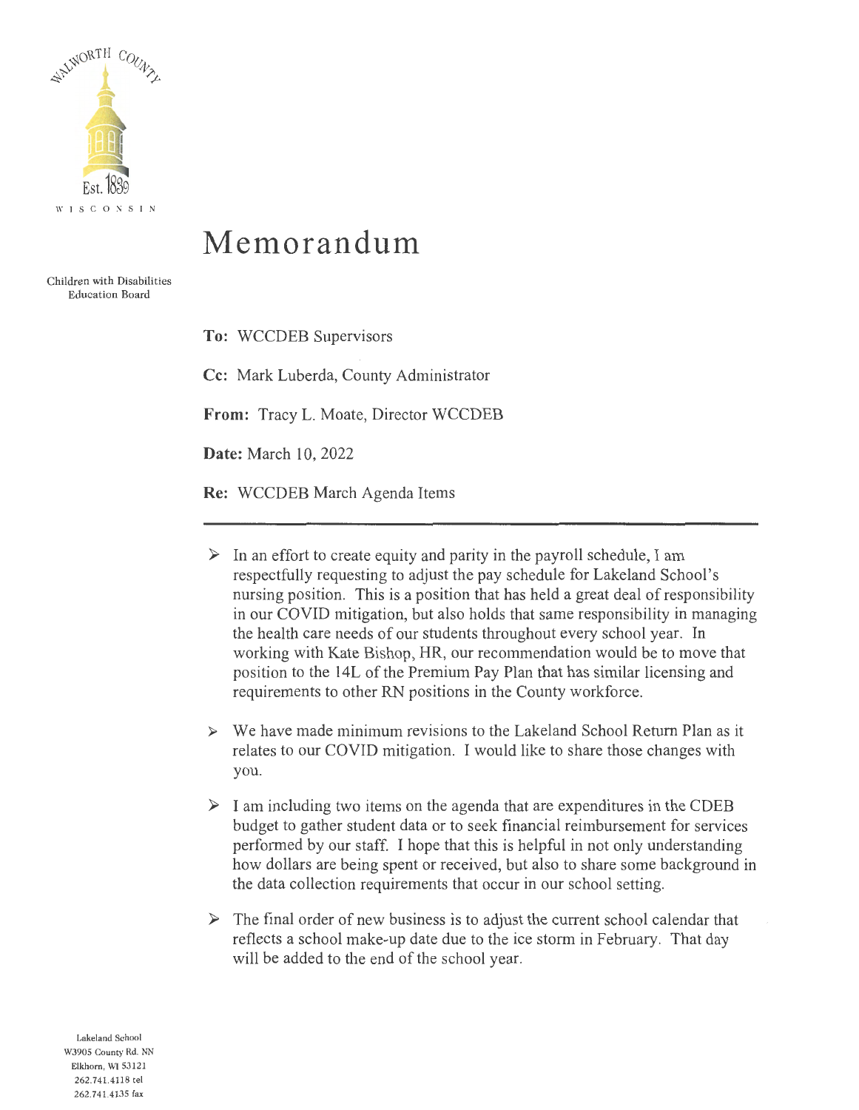

## **Memorandum**

Children with Disabilities Education Board

> **To:** WCCDEB Supervisors **Cc:** Mark Luberda, County Administrator **From:** Tracy L. Moate, Director WCCDEB **Date:** March 10, 2022 **Re:** WCCDEB March Agenda Items

- $\triangleright$  In an effort to create equity and parity in the payroll schedule, I am respectfully requesting to adjust the pay schedule for Lakeland School's nursing position. This is a position that has held a great deal of responsibility in our COVID mitigation, but also holds that same responsibility in managing the health care needs of our students throughout every school year. In working with Kate Bishop, HR, our recommendation would be to move that position to the 14L of the Premium Pay Plan that has similar licensing and requirements to other RN positions in the County workforce.
- ► We have made minimum revisions to the Lakeland School Return Plan as it relates to our COVID mitigation. I would like to share those changes with you.
- $\triangleright$  I am including two items on the agenda that are expenditures in the CDEB budget to gather student data or to seek financial reimbursement for services performed by our staff. I hope that this is helpful in not only understanding how dollars are being spent or received, but also to share some background in the data collection requirements that occur in our school setting.
- $\triangleright$  The final order of new business is to adjust the current school calendar that reflects a school make-up date due to the ice storm in February. That day will be added to the end of the school year.

Lakeland School W3905 County Rd. NN Elkhorn, WI 53121 262.741.4118 tel 262.741.4135 fax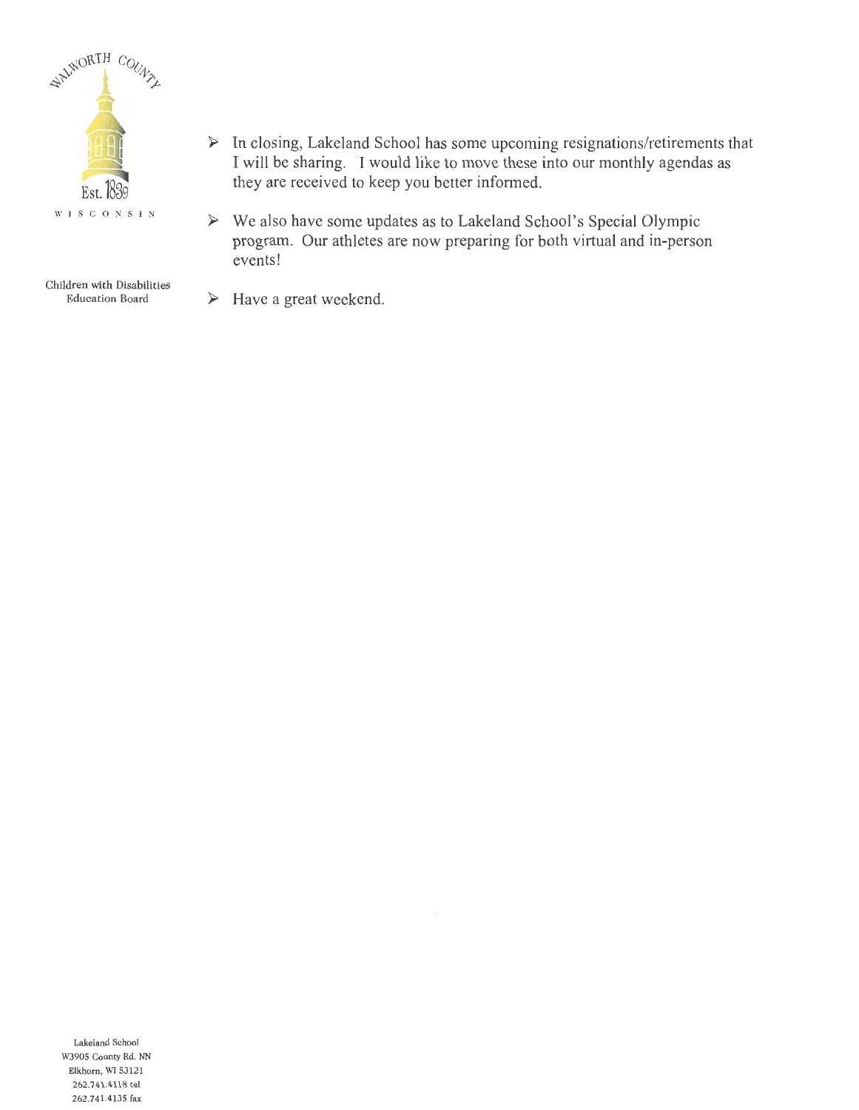

- ► In closing, Lakeland School has some upcoming resignations/retirements that I will be sharing. I would like to move these into our monthly agendas as they are received to keep you better informed.
- ► We also have some updates as to Lakeland School's Special Olympic program. Our athletes are now preparing for both virtual and in-person events!

Children with Disabilities Education Board

► Have a great weekend.

Lakeland School W3905 County Rd. NN Elkhorn, WI 53121 262.741.4118 tel 262.741.4135 fax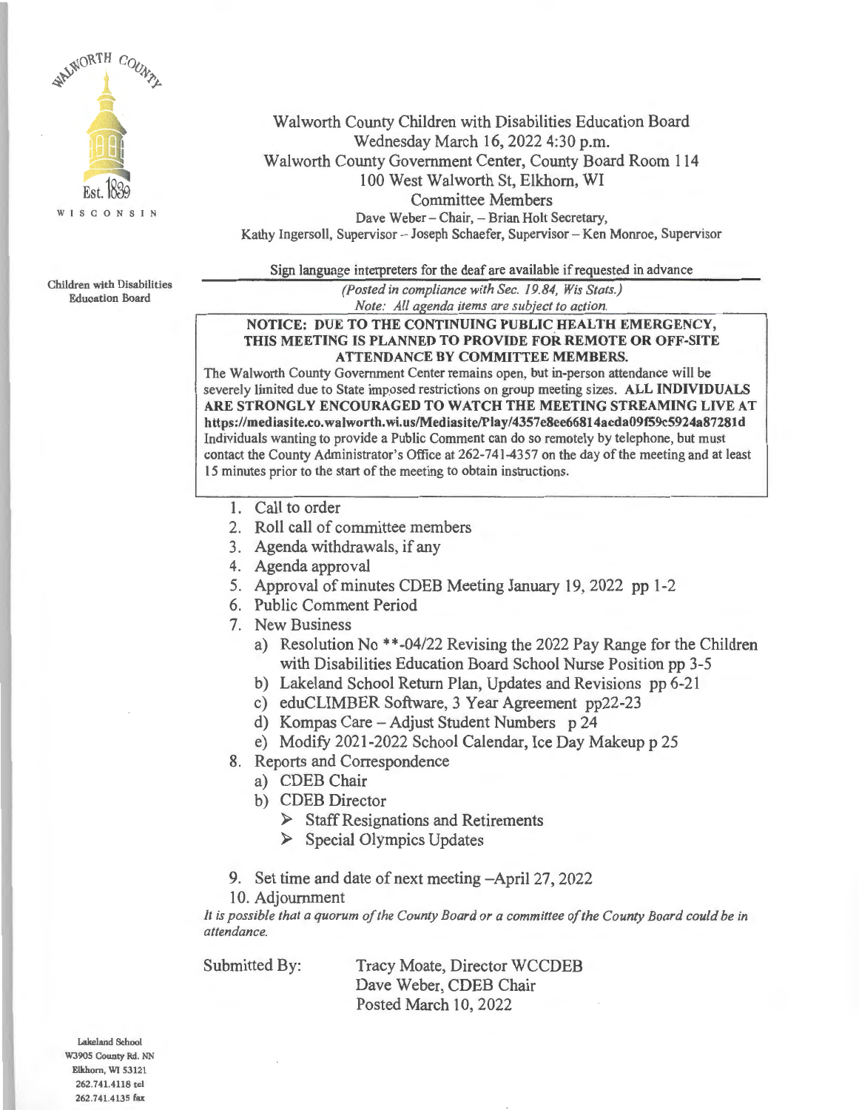

Walworth County Children with Disabilities Education Board Wednesday March 16, 2022 4:30 p.m. Walworth County Government Center, County Board Room 114 100 West Walworth St, Elkhorn, WI Committee Members Dave Weber - Chair, - Brian Holt Secretary, Kathy Ingersoll, Supervisor - Joseph Schaefer, Supervisor - Ken Monroe, Supervisor

Sign language interpreters for the deaf are available if requested in advance

Children with Disabilities Education Board

*(Posted in compliance with Sec. 19.84, Wis Stats.) Note: All agenda items are subject to action.* 

### **NOTICE: DUE TO THE CONTINUING PUBLIC HEALTH EMERGENCY, THIS MEETING IS PLANNED TO PROVIDE FOR REMOTE OR OFF-SITE ATTENDANCE BY COMMITTEE MEMBERS.**

The Walworth County Government Center remains open, but in-person attendance will be severely limited due to State imposed restrictions on group meeting sizes. **ALL INDIVIDUALS ARE STRONGLY ENCOURAGED TO WATCH THE MEETING STREAMING LIVE AT https://mediasite.co.walworth.wi.us/Mediasite/Play/4357e8ee66814aeda09f59c5924a87281d**  Individuals wanting to provide a Public Comment can do so remotely by telephone, but must contact the County Administrator's Office at 262-741-4357 on the day of the meeting and at least 15 minutes prior to the start of the meeting to obtain instructions.

- 1. Call to order
- 2. Roll call of committee members
- 3. Agenda withdrawals, if any
- 4. Agenda approval
- 5. Approval of minutes CDEB Meeting January 19, 2022 pp 1-2
- 6. Public Comment Period
- 7. New Business
	- a) Resolution No \*\*-04/22 Revising the 2022 Pay Range for the Children with Disabilities Education Board School Nurse Position pp 3-5
	- b) Lakeland School Return Plan, Updates and Revisions pp 6-21
	- c) eduCLIMBER Software, 3 Year Agreement pp22-23
	- d) Kompas Care Adjust Student Numbers p 24
	- e) Modify 2021-2022 School Calendar, Ice Day Makeup p 25
- 8. Reports and Correspondence
	- a) CDEB Chair
	- b) CDEB Director
		- ► Staff Resignations and Retirements
		- ► Special Olympics Updates
- 9. Set time and date of next meeting-April 27, 2022
- 10. Adjournment

*It* is *possible that a quorum of the County Board or a committee of the County Board could be in attendance.* 

Submitted By: Tracy Moate, Director WCCDEB Dave Weber, CDEB Chair Posted March 10, 2022

Lakeland School WJ905 County Rd. NN Elkhorn, WI 53121 262.741.4118 tel 262.741.4135 fax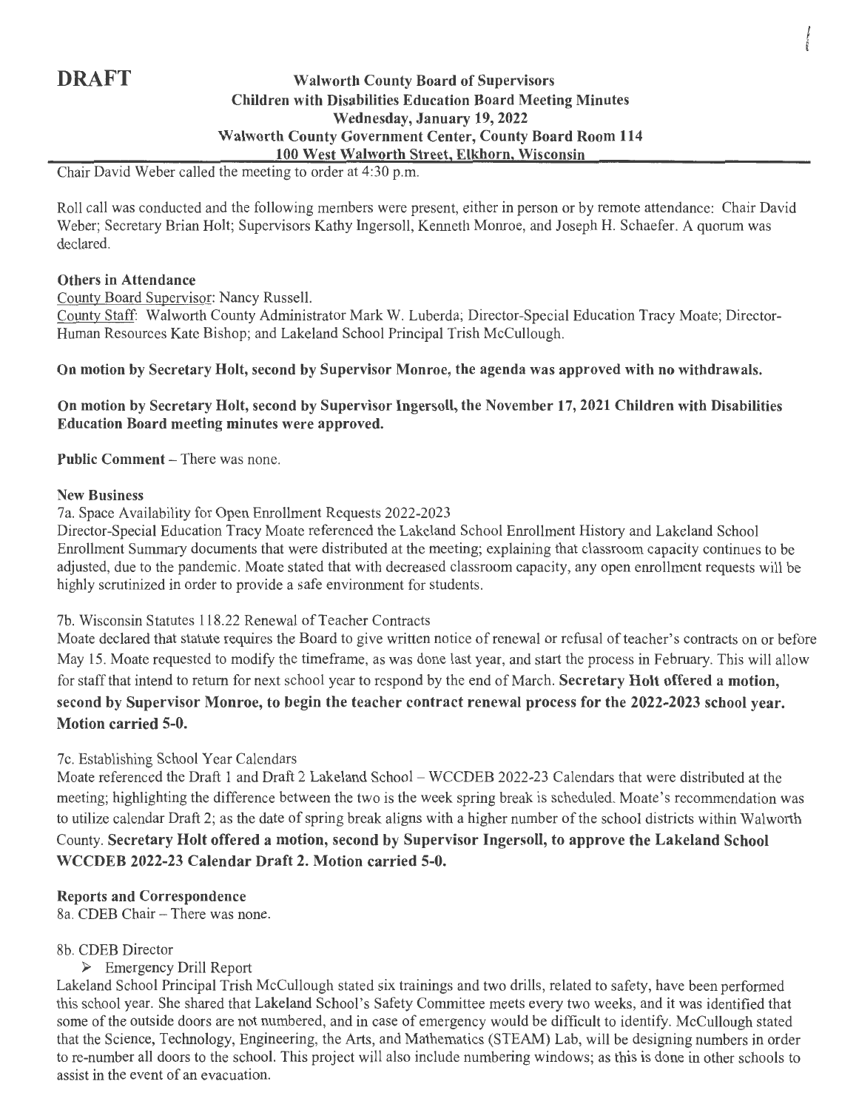### **DRAFT** Walworth County Board of Supervisors **Children with Disabilities Education Board Meeting Minutes Wednesday, January 19, 2022 Walworth County Government Center, County Board Room 114 100 West Walworth Street, Elkhorn, Wisconsin**

**INSTALLS** 

Chair David Weber called the meeting to order at 4:30 p.m.

Roll call was conducted and the following members were present, either in person or by remote attendance: Chair David Weber; Secretary Brian Holt; Supervisors Kathy Ingersoll, Kenneth Monroe, and Joseph **H.** Schaefer. A quorum was declared.

### **Others in Attendance**

County Board Supervisor: Nancy Russell.

County Staff: Walworth County Administrator Mark W. Luberda; Director-Special Education Tracy Moate; Director-Human Resources Kate Bishop; and Lakeland School Principal Trish McCullough.

### **On motion by Secretary Holt, second by Supervisor Monroe, the agenda was approved with no withdrawals.**

### **On motion by Secretary Holt, second by Supervisor Ingersoll, the November 17, 2021 Children with Disabilities Education Board meeting minutes were approved.**

**Public Comment – There was none.** 

### **New Business**

7a. Space Availability for Open Enrollment Requests 2022-2023

Director-Special Education Tracy Moate referenced the Lakeland School Enrollment History and Lakeland School Enrollment Summary documents that were distributed at the meeting; explaining that classroom capacity continues to be adjusted, due to the pandemic. Moate stated that with decreased classroom capacity, any open enrollment requests will be highly scrutinized in order to provide a safe environment for students.

### 7b. Wisconsin Statutes 118.22 Renewal of Teacher Contracts

Moate declared that statute requires the Board to give written notice of renewal or refusal of teacher's contracts on or before May 15. Moate requested to modify the timeframe, as was done last year, and start the process in February. This will allow for staff that intend to return for next school year to respond by the end of March. **Secretary Holt offered a motion, second by Supervisor Monroe, to begin the teacher contract renewal process for the 2022-2023 school year. Motion carried 5-0.** 

### 7c. Establishing School Year Calendars

Moate referenced the Draft 1 and Draft 2 Lakeland School - WCCDEB 2022-23 Calendars that were distributed at the meeting; highlighting the difference between the two is the week spring break is scheduled. Moate's recommendation was to utilize calendar Draft 2; as the date of spring break aligns with a higher number of the school districts within Walworth County. **Secretary Holt offered a motion, second by Supervisor Ingersoll, to approve the Lakeland School WCCDEB 2022-23 Calendar Draft 2. Motion carried 5-0.** 

### **Reports and Correspondence**

8a. CDEB Chair - There was none.

### 8b. CDEB Director

### ► Emergency Drill Report

Lakeland School Principal Trish McCullough stated six trainings and two drills, related to safety, have been performed this school year. She shared that Lakeland School's Safety Committee meets every two weeks, and it was identified that some of the outside doors are not numbered, and in case of emergency would be difficult to identify. McCullough stated that the Science, Technology, Engineering, the Arts, and Mathematics (STEAM) Lab, will be designing numbers in order to re-number all doors to the school. This project will also include numbering windows; as this is done in other schools to assist in the event of an evacuation.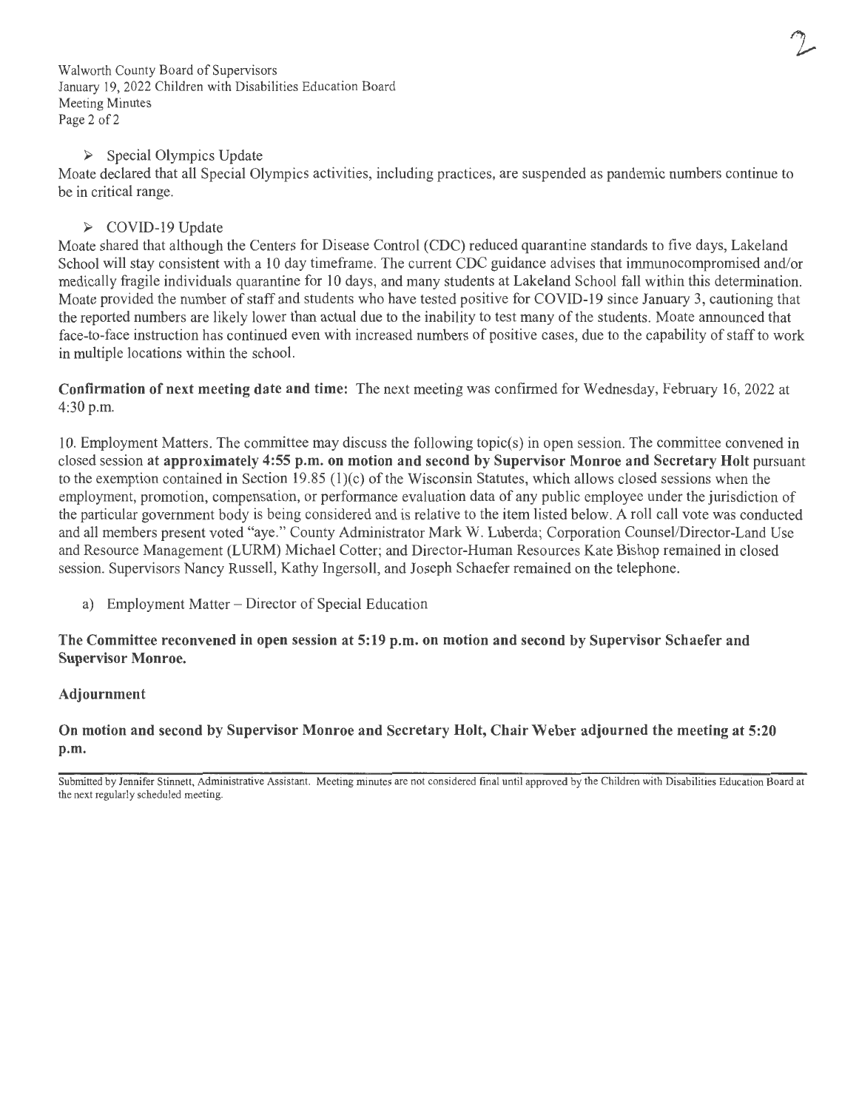Walworth County Board of Supervisors January 19, 2022 Children with Disabilities Education Board Meeting Minutes Page 2 of 2

### ► Special Olympics Update

Moate declared that all Special Olympics activities, including practices, are suspended as pandemic numbers continue to be in critical range.

### ► COVID-19 Update

Moate shared that although the Centers for Disease Control (CDC) reduced quarantine standards to five days, Lakeland School will stay consistent with a 10 day timeframe. The current CDC guidance advises that immunocompromised and/or medically fragile individuals quarantine for 10 days, and many students at Lakeland School fall within this determination. Moate provided the number of staff and students who have tested positive for COVID-19 since January 3, cautioning that the reported numbers are likely lower than actual due to the inability to test many of the students. Moate announced that face-to-face instruction has continued even with increased numbers of positive cases, due to the capability of staff to work in multiple locations within the school.

**Confirmation of next meeting date and time:** The next meeting was confirmed for Wednesday, February 16, 2022 at 4:30 p.m.

10. Employment Matters. The committee may discuss the following topic(s) in open session. The committee convened in closed session **at approximately 4:55 p.m. on motion and second by Supervisor Monroe and Secretary Holt** pursuant to the exemption contained in Section 19.85 (l)(c) of the Wisconsin Statutes, which allows closed sessions when the employment, promotion, compensation, or performance evaluation data of any public employee under the jurisdiction of the particular government body is being considered and is relative to the item listed below. A roll call vote was conducted and all members present voted "aye." County Administrator Mark W. Luberda; Corporation Counsel/Director-Land Use and Resource Management (LURM) Michael Cotter; and Director-Human Resources Kate Bishop remained in closed session. Supervisors Nancy Russell, Kathy Ingersoll, and Joseph Schaefer remained on the telephone.

a) Employment Matter – Director of Special Education

### **The Committee reconvened in open session at 5: 19 p.m. on motion and second by Supervisor Schaefer and Supervisor Monroe.**

### **Adjournment**

**On motion and second by Supervisor Monroe and Secretary Holt, Chair Weber adjourned the meeting at 5:20 p.m.** 

Submitted by Jennifer Stinnett, Administrative Assistant. Meeting minutes are not considered final until approved by the Children with Disabilities Education Board at the next regularly scheduled meeting.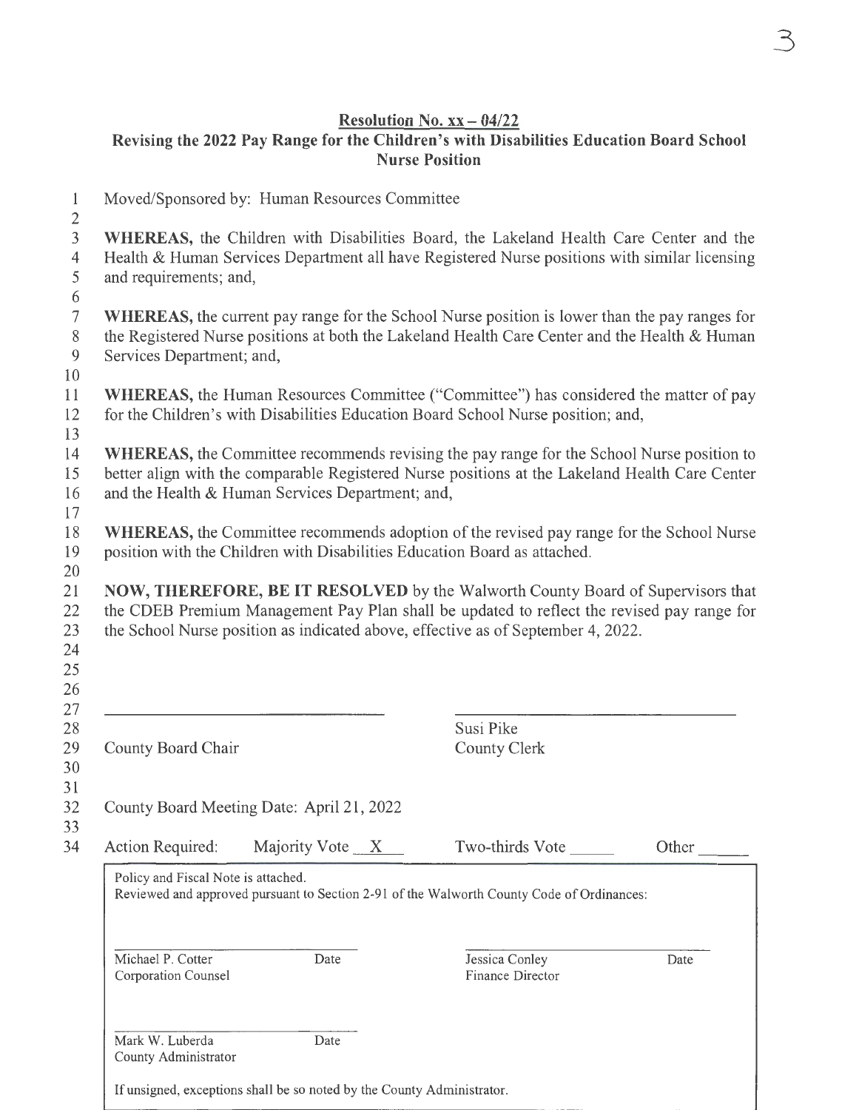### **Resolution No. xx** - **04/22 Revising the 2022 Pay Range for the Children's with Disabilities Education Board School Nurse Position**

1 Moved/Sponsored by: Human Resources Committee 2 3 **WHEREAS,** the Children with Disabilities Board, the Lakeland Health Care Center and the 4 Health & Human Services Department all have Registered Nurse positions with similar licensing 5 and requirements; and, 6 7 **WHEREAS,** the current pay range for the School Nurse position is lower than the pay ranges for 8 the Registered Nurse positions at both the Lakeland Health Care Center and the Health & Human 9 Services Department; and, 10 11 **WHEREAS,** the Human Resources Committee ("Committee") has considered the matter of pay 12 for the Children's with Disabilities Education Board School Nurse position; and, 13 14 **WHEREAS,** the Committee recommends revising the pay range for the School Nurse position to 15 better align with the comparable Registered Nurse positions at the Lakeland Health Care Center 16 and the Health & Human Services Department; and, 17 18 **WHEREAS,** the Committee recommends adoption of the revised pay range for the School Nurse 19 position with the Children with Disabilities Education Board as attached. 20 21 **NOW, THEREFORE, BE IT RESOLVED** by the Walworth County Board of Supervisors that 22 the CDEB Premium Management Pay Plan shall be updated to reflect the revised pay range for 23 the School Nurse position as indicated above, effective as of September 4, 2022. 24 25 26 27 28 29 County Board Chair Susi Pike County Clerk 30 31 32 33 34 County Board Meeting Date: April 21, 2022  $Action Required:$  Majority Vote  $X$  Two-thirds Vote Policy and Fiscal Note is attached. Reviewed and approved pursuant to Section 2-91 of the Walworth County Code of Ordinances: Michael P. Cotter Corporation Counsel Mark W. Luberda County Administrator Date Date Jessica Conley Finance Director If unsigned, exceptions shall be so noted by the County Administrator. **Other** Date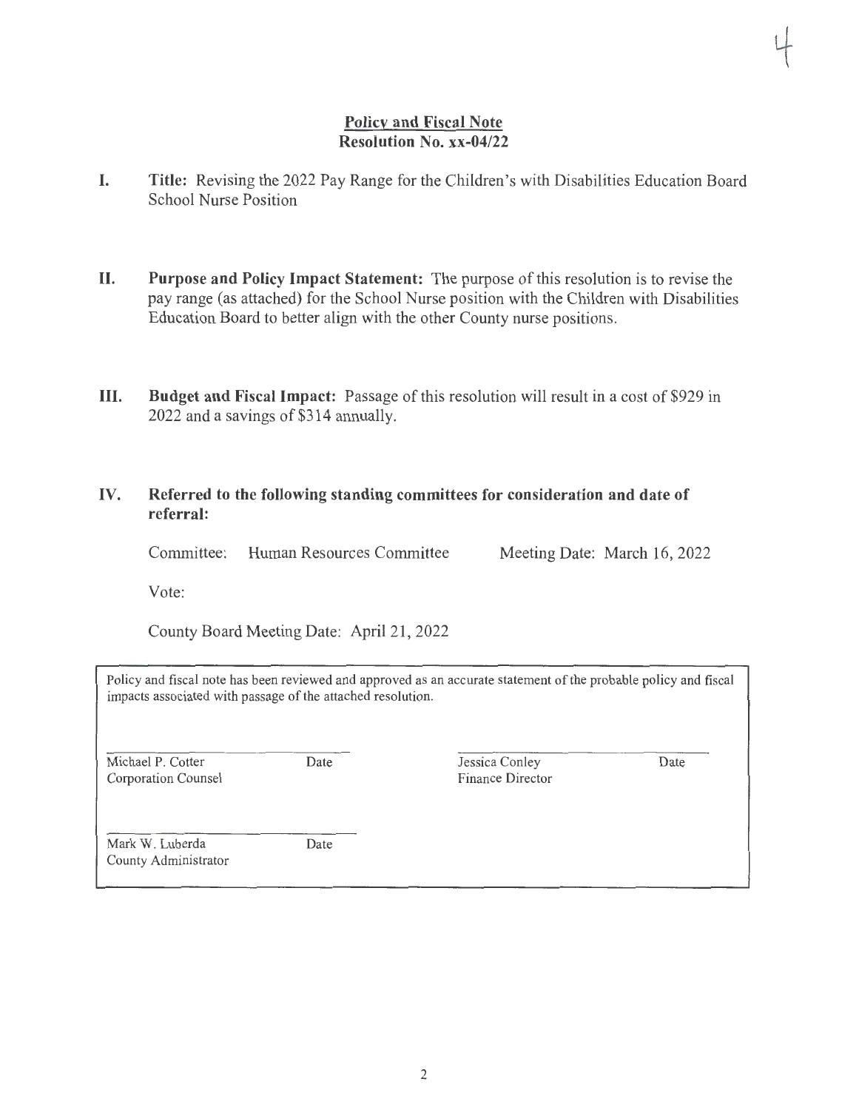### **Policy and Fiscal Note Resolution No. xx-04/22**

- **I. Title:** Revising the 2022 Pay Range for the Children's with Disabilities Education Board School Nurse Position
- **II. Purpose and Policy Impact Statement:** The purpose of this resolution is to revise the pay range (as attached) for the School Nurse position with the Children with Disabilities Education Board to better align with the other County nurse positions.
- **III. Budget and Fiscal Impact:** Passage of this resolution will result in a cost of \$929 in 2022 and a savings of \$314 annually.

### **IV. Referred to the following standing committees for consideration and date of referral:**

Committee: Human Resources Committee Meeting Date: March 16, 2022

Vote:

County Board Meeting Date: April 21, 2022

Policy and fiscal note has been reviewed and approved as an accurate statement of the probable policy and fiscal impacts associated with passage of the attached resolution.

Michael P. Cotter Corporation Counsel Date

Date

Jessica Conley Finance Director Date

Mark W. Luberda County Administrator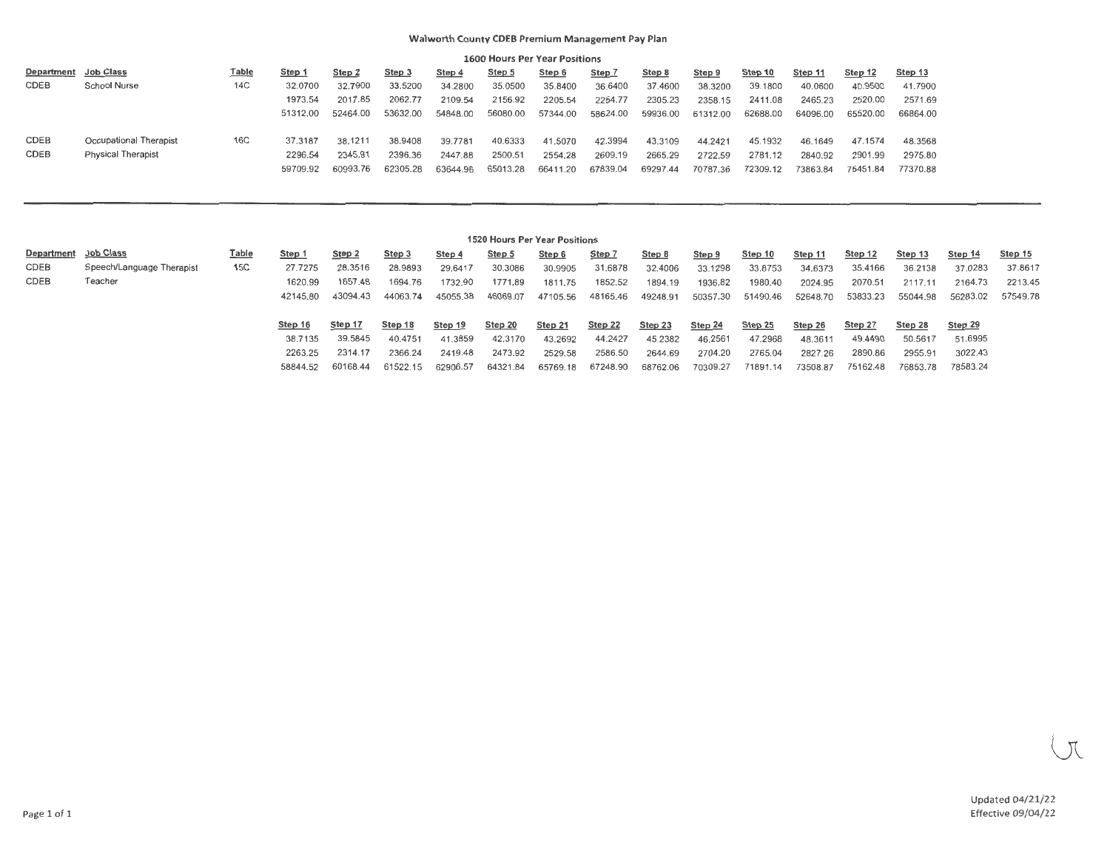#### **Walworth County CDEB Premium Management Pay Plan**

|                   |                           |              |          |          |          |          |          | <b>1600 Hours Per Year Positions</b> |          |          |          |          |          |          |          |
|-------------------|---------------------------|--------------|----------|----------|----------|----------|----------|--------------------------------------|----------|----------|----------|----------|----------|----------|----------|
| <b>Department</b> | Job Class                 | <u>Table</u> | Step 1   | Step 2   | Step 3   | Step 4   | Step 5   | Step 6                               | Step 7   | Step 8   | Step 9   | Step 10  | Step 11  | Step 12  | Step 13  |
| CDEB              | School Nurse              | 14C          | 32.0700  | 32.7900  | 33.5200  | 34.2800  | 35.0500  | 35.8400                              | 36.6400  | 37.4600  | 38,3200  | 39.1800  | 40,0600  | 40.9500  | 41.7900  |
|                   |                           |              | 1973.54  | 2017.85  | 2062.77  | 2109.54  | 2156.92  | 2205.54                              | 2254.77  | 2305.23  | 2358.15  | 2411.08  | 2465.23  | 2520.00  | 2571.69  |
|                   |                           |              | 51312.00 | 52464.00 | 53632.00 | 54848.00 | 56080.00 | 57344.00                             | 58624.00 | 59936.00 | 61312.00 | 62688.00 | 64096.00 | 65520.00 | 66864.00 |
| CDEB              | Occupational Therapist    | 16C          | 37.3187  | 38.1211  | 38.9408  | 39.7781  | 40.6333  | 41.5070                              | 42.3994  | 43.3109  | 44.2421  | 45.1932  | 46.1649  | 47.1574  | 48.3568  |
| CDEB              | <b>Physical Therapist</b> |              | 2296.54  | 2345.91  | 2396.36  | 2447.88  | 2500.51  | 2554.28                              | 2609.19  | 2665.29  | 2722.59  | 2781.12  | 2840.92  | 2901.99  | 2975.80  |
|                   |                           |              | 59709.92 | 60993.76 | 62305.28 | 63644.96 | 65013.28 | 66411.20                             | 67839.04 | 69297.44 | 70787.36 | 72309.12 | 73863.84 | 75451.84 | 77370.88 |

|            |                           |              |          |          |          |          | 1520 Hours Per Year Positions |          |          |          |          |          |          |          |          |          |          |
|------------|---------------------------|--------------|----------|----------|----------|----------|-------------------------------|----------|----------|----------|----------|----------|----------|----------|----------|----------|----------|
| Department | <b>Job Class</b>          | <u>Table</u> | Step 1   | Step 2   | Step 3   | Step 4   | Step 5                        | Step 6   | Step 7   | Step 8   | Step 9   | Step 10  | Step 11  | Step 12  | Step 13  | Step 14  | Step 15  |
| CDEB       | Speech/Language Therapist | 15C          | 27.7275  | 28,3516  | 28.9893  | 29.6417  | 30.3086                       | 30.9905  | 31.6878  | 32,4006  | 33.1298  | 33.8753  | 34.6373  | 35,4166  | 36.2138  | 37.0283  | 37.8617  |
| CDEB       | Teacher                   |              | 1620.99  | 1657,48  | 1694.76  | 1732.90  | 1771.89                       | 1811.75  | 1852.52  | 1894.19  | 1936.82  | 1980.40  | 2024.95  | 2070.51  | 2117.11  | 2164.73  | 2213.45  |
|            |                           |              | 42145.80 | 43094.43 | 44063.74 | 45055.38 | 46069.07                      | 47105.56 | 48165.46 | 49248.91 | 50357.30 | 51490.46 | 52648.70 | 53833.23 | 55044.98 | 56283.02 | 57549.78 |
|            |                           |              |          |          |          |          |                               |          |          |          |          |          |          |          |          |          |          |
|            |                           |              | Step 16  | Step 17  | Step 18  | Step 19  | Step 20                       | Step 21  | Step 22  | Step 23  | Step 24  | Step 25  | Step 26  | Step 27  | Step 28  | Step 29  |          |
|            |                           |              | 38.7135  | 39.5845  | 40.4751  | 41.3859  | 42.3170                       | 43.2692  | 44.2427  | 45.2382  | 46.2561  | 47.2968  | 48.3611  | 49.4490  | 50,5617  | 51.6995  |          |
|            |                           |              | 2263.25  | 2314.17  | 2366.24  | 2419.48  | 2473.92                       | 2529.58  | 2586.50  | 2644.69  | 2704.20  | 2765.04  | 2827.26  | 2890.86  | 2955.91  | 3022.43  |          |
|            |                           |              | 58844.52 |          | 61522.15 | 62906.57 | 64321.84                      | 65769.18 | 67248.90 | 68762.06 | 70309.27 | 71891.14 | 73508.87 | 75162.48 | 76853.78 | 78583.24 |          |
|            |                           |              |          | 60168.44 |          |          |                               |          |          |          |          |          |          |          |          |          |          |

 $\overline{\mathcal{N}}$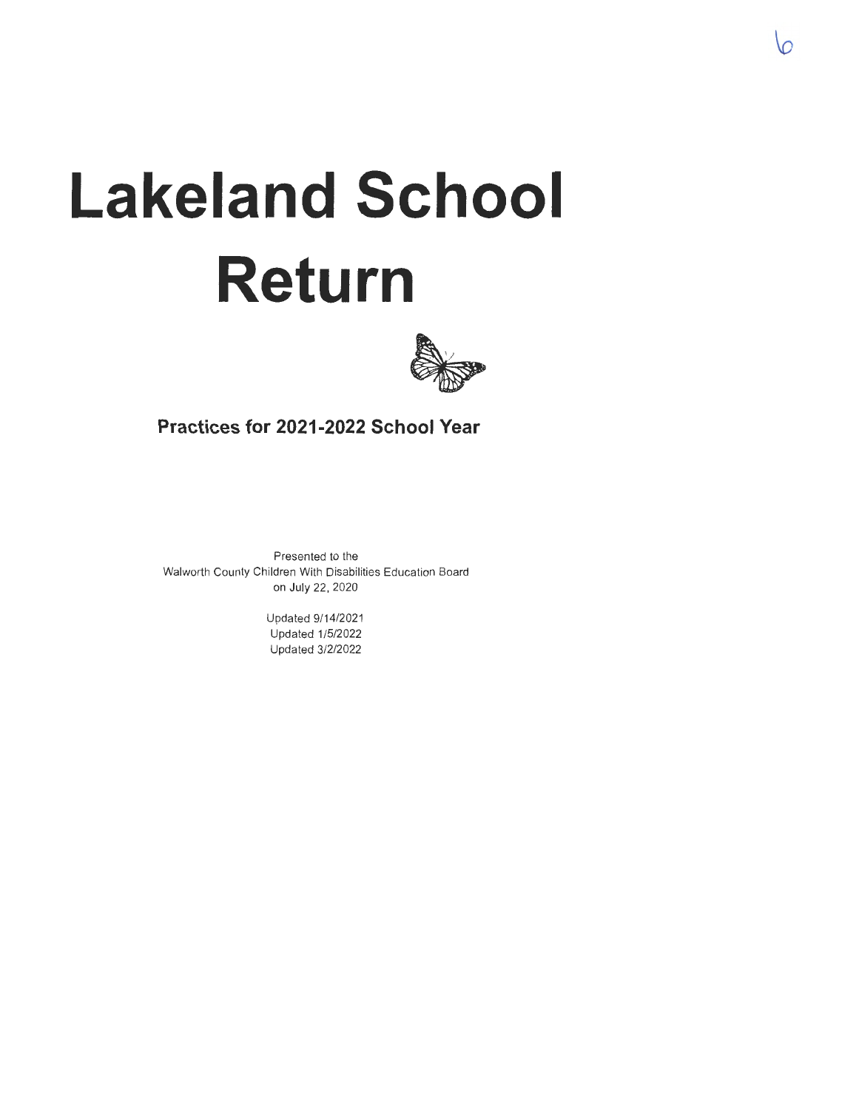# **Lakeland School Return**



**Practices for 2021-2022 School Year** 

Presented to the Walworth County Children With Disabilities Education Board on July 22, 2020

> Updated 9/14/2021 Updated 1/5/2022 Updated 3/2/2022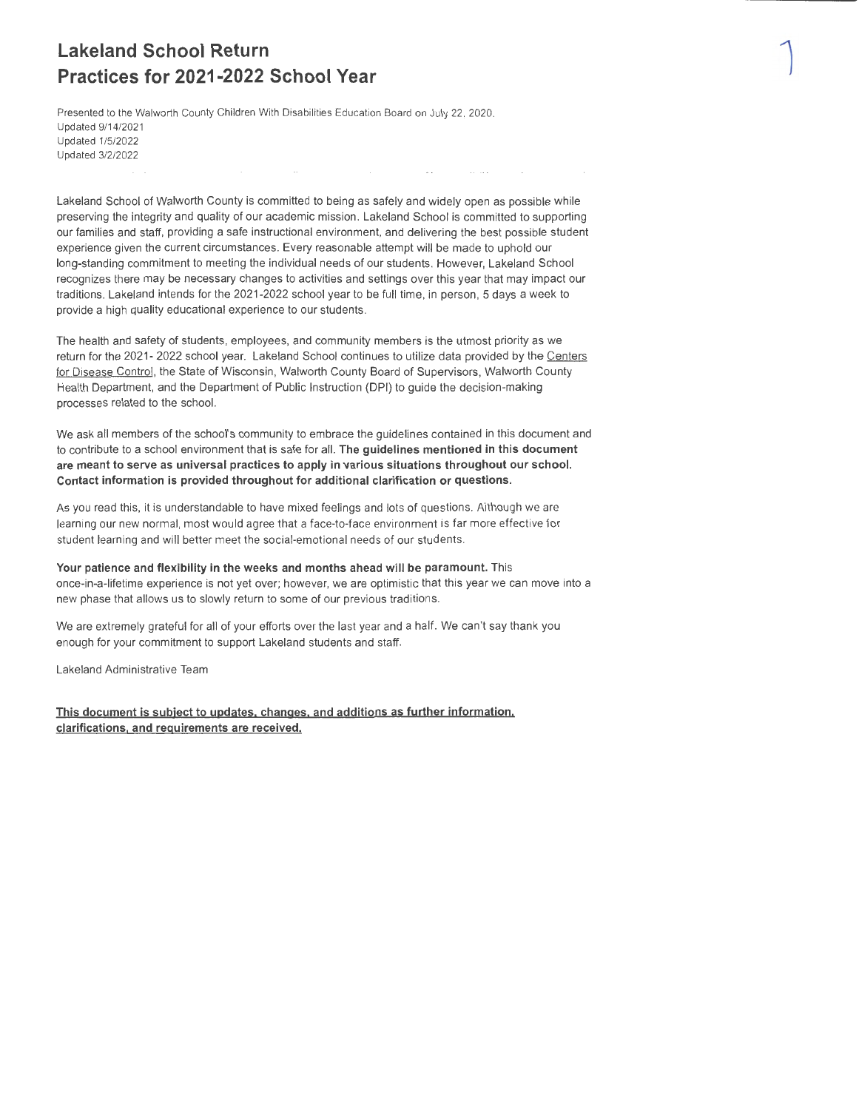### **Lakeland School Return Practices for 2021-2022 School Year**

Presented to the Walworth County Children With Disabilities Education Board on July 22, 2020. Updated 9/14/202 1 Updated 1/5/2022 Updated 3/2/2022

Lakeland School of Walworth County is committed to being as safely and widely open as possible while preserving the integrity and quality of our academic mission. Lakeland School is committed to supporting our families and staff, providing a safe instructional environment, and delivering the best possible student experience given the current circumstances. Every reasonable attempt will be made to uphold our long-standing commitment to meeting the individual needs of our students. However, Lakeland School recognizes there may be necessary changes to activities and settings over this year that may impact our traditions. Lakeland intends for the 2021-2022 school year to be full time, in person, 5 days a week to provide a high quality educational experience to our students.

**1** 

The health and safety of students, employees, and community members is the utmost priority as we return for the 2021- 2022 school year. Lakeland School continues to utilize data provided by the Centers for Disease Control, the State of Wisconsin, Walworth County Board of Supervisors, Walworth County Health Department, and the Department of Public Instruction (DPI) to guide the decision-making processes related to the school.

We ask all members of the school's community to embrace the guidelines contained in this document and to contribute to a school environment that is safe for all. **The guidelines mentioned in this document are meant to serve as universal practices to apply in various situations throughout our school. Contact information is provided throughout for additional clarification or questions.** 

As you read this, it is understandable to have mixed feelings and lots of questions. Although we are learning our new normal, most would agree that a face-to-face environment is far more effective for student learning and will better meet the social-emotional needs of our students.

**Your patience and flexibility in the weeks and months ahead will be paramount.** This once-in-a-lifetime experience is not yet over; however, we are optimistic that this year we can move into a new phase that allows us to slowly return to some of our previous traditions.

We are extremely grateful for all of your efforts over the last year and a half. We can't say thank you enough for your commitment to support Lakeland students and staff.

Lakeland Administrative Team

**This document is subject to updates, changes. and additions as further information. clarifications, and requirements are received.**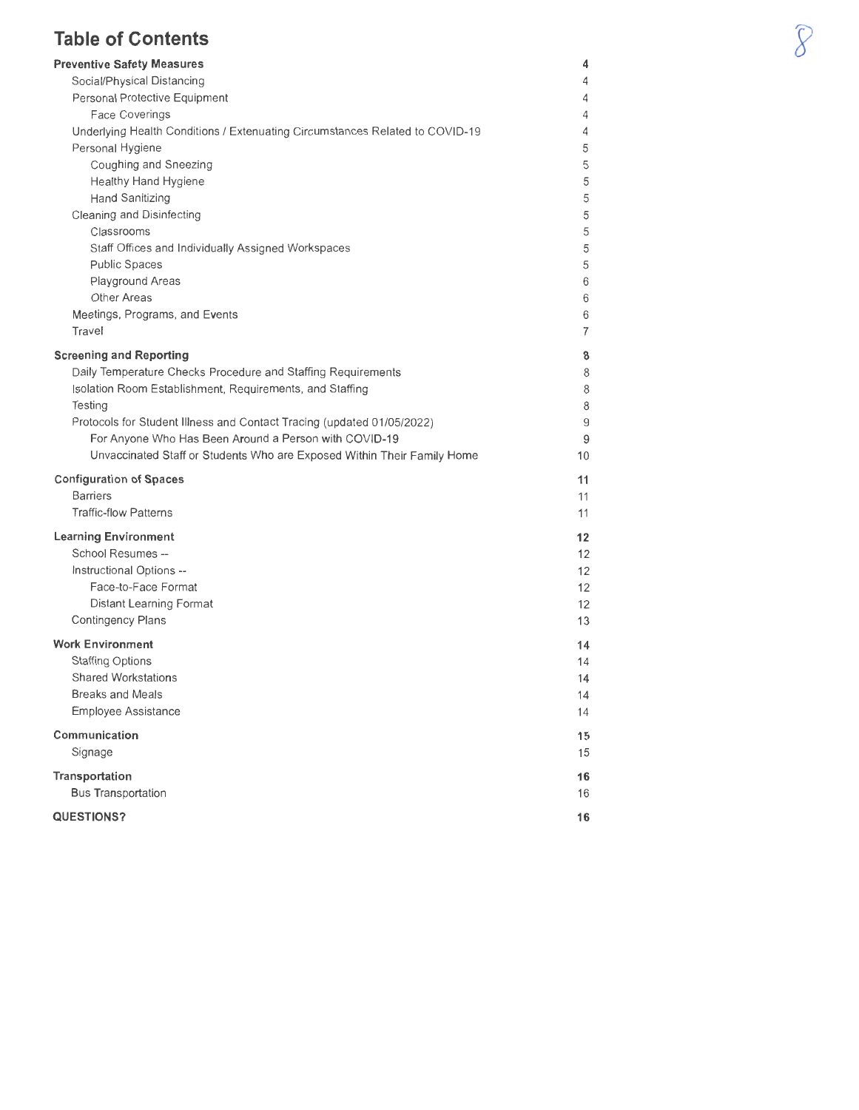### **Table of Contents**

| <b>Preventive Safety Measures</b>                                                                                        | 4        |
|--------------------------------------------------------------------------------------------------------------------------|----------|
| Social/Physical Distancing                                                                                               | 4        |
| Personal Protective Equipment                                                                                            | 4        |
| Face Coverings                                                                                                           | 4        |
| Underlying Health Conditions / Extenuating Circumstances Related to COVID-19                                             | 4        |
| Personal Hygiene                                                                                                         | 5        |
| Coughing and Sneezing                                                                                                    | 5        |
| Healthy Hand Hygiene                                                                                                     | 5        |
| Hand Sanitizing                                                                                                          | 5        |
| Cleaning and Disinfecting                                                                                                | 5        |
| Classrooms<br>Staff Offices and Individually Assigned Workspaces                                                         | 5<br>5   |
| <b>Public Spaces</b>                                                                                                     | 5        |
| Playground Areas                                                                                                         | 6        |
| Other Areas                                                                                                              | 6        |
| Meetings, Programs, and Events                                                                                           | 6        |
| Travel                                                                                                                   | 7        |
|                                                                                                                          |          |
| <b>Screening and Reporting</b>                                                                                           | 8        |
| Daily Temperature Checks Procedure and Staffing Requirements<br>Isolation Room Establishment, Requirements, and Staffing | 8<br>8   |
| Testing                                                                                                                  | 8        |
| Protocols for Student Illness and Contact Tracing (updated 01/05/2022)                                                   | 9        |
| For Anyone Who Has Been Around a Person with COVID-19                                                                    | 9        |
| Unvaccinated Staff or Students Who are Exposed Within Their Family Home                                                  | 10       |
|                                                                                                                          |          |
| <b>Configuration of Spaces</b><br><b>Barriers</b>                                                                        | 11       |
| <b>Traffic-flow Patterns</b>                                                                                             | 11<br>11 |
|                                                                                                                          |          |
| <b>Learning Environment</b>                                                                                              | 12       |
| School Resumes --                                                                                                        | 12       |
| Instructional Options --                                                                                                 | 12       |
| Face-to-Face Format                                                                                                      | 12       |
| Distant Learning Format<br>Contingency Plans                                                                             | 12<br>13 |
|                                                                                                                          |          |
| <b>Work Environment</b>                                                                                                  | 14       |
| <b>Staffing Options</b>                                                                                                  | 14       |
| <b>Shared Workstations</b>                                                                                               | 14       |
| <b>Breaks and Meals</b>                                                                                                  | 14       |
| Employee Assistance                                                                                                      | 14       |
| Communication                                                                                                            | 15       |
| Signage                                                                                                                  | 15       |
| Transportation                                                                                                           | 16       |
| <b>Bus Transportation</b>                                                                                                | 16       |
| <b>QUESTIONS?</b>                                                                                                        | 16       |
|                                                                                                                          |          |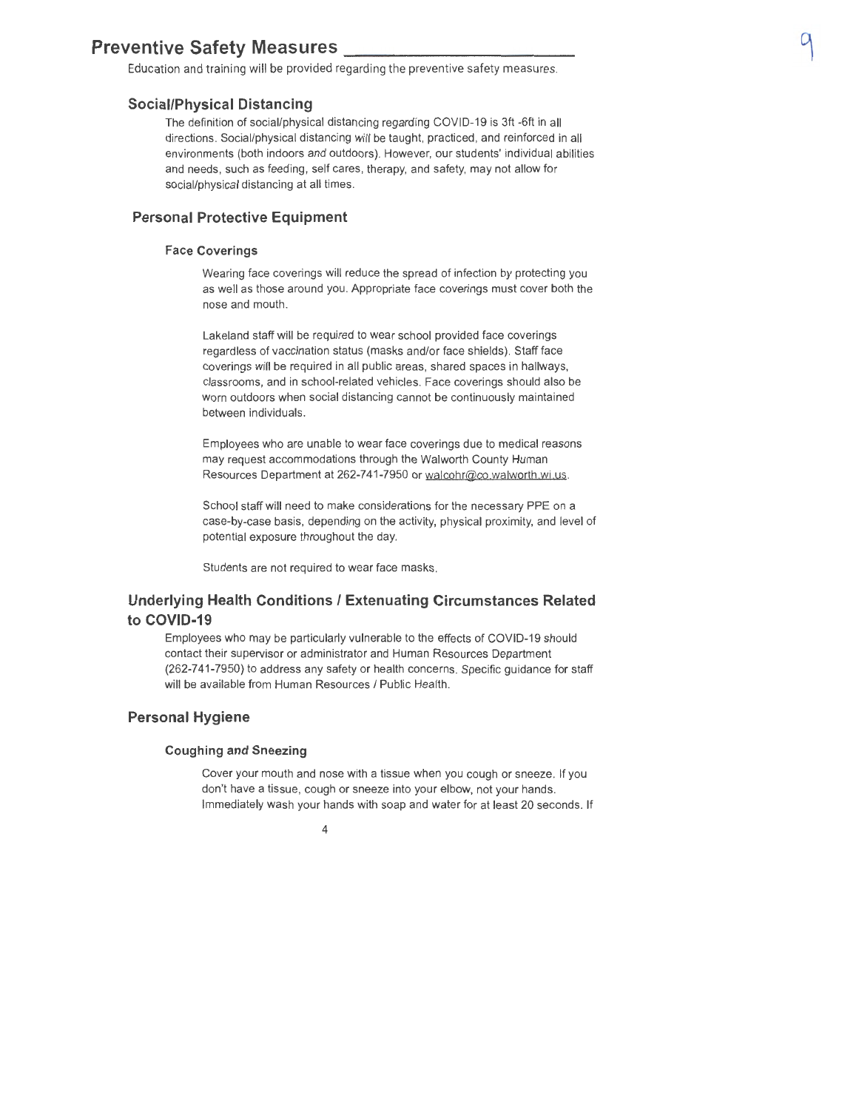### **Preventive Safety Measures** \_\_\_\_\_\_\_\_\_\_ \_

Education and training will be provided regarding the preventive safety measures.

#### **Social/Physical Distancing**

The definition of social/physical distancing regarding COVID-19 is 3ft -6ft in all directions. Social/physical distancing will be taught, practiced, and reinforced in all environments (both indoors and outdoors). However, our students' individual abilities and needs, such as feeding, self cares, therapy, and safety, may not allow for social/physical distancing at all times .

#### **Personal Protective Equipment**

#### **Face Coverings**

Wearing face coverings will reduce the spread of infection by protecting you as well as those around you. Appropriate face coverings must cover both the nose and mouth.

Lakeland staff will be required to wear school provided face coverings regardless of vaccination status (masks and/or face shields). Staff face coverings will be required in all public areas, shared spaces in hallways, classrooms, and in school-related vehicles. Face coverings should also be worn outdoors when social distancing cannot be continuously maintained between individuals.

Employees who are unable to wear face coverings due to medical reasons may request accommodations through the Walworth County Human Resources Department at 262-741-7950 or walcohr@co walworth wi us.

School staff will need to make considerations for the necessary PPE on a case-by-case basis, depending on the activity, physical proximity, and level of potential exposure throughout the day.

Students are not required to wear face masks.

### **Underlying Health Conditions/ Extenuating Circumstances Related to COVID-19**

Employees who may be particularly vulnerable to the effects of COVID-19 should contact their supervisor or administrator and Human Resources Department (262-7 41-7950) to address any safety or health concerns. Specific guidance for staff will be available from Human Resources / Public Health.

### **Personal Hygiene**

#### **Coughing and Sneezing**

Cover your mouth and nose with a tissue when you cough or sneeze. If you don't have a tissue, cough or sneeze into your elbow, not your hands. Immediately wash your hands with soap and water for at least 20 seconds. If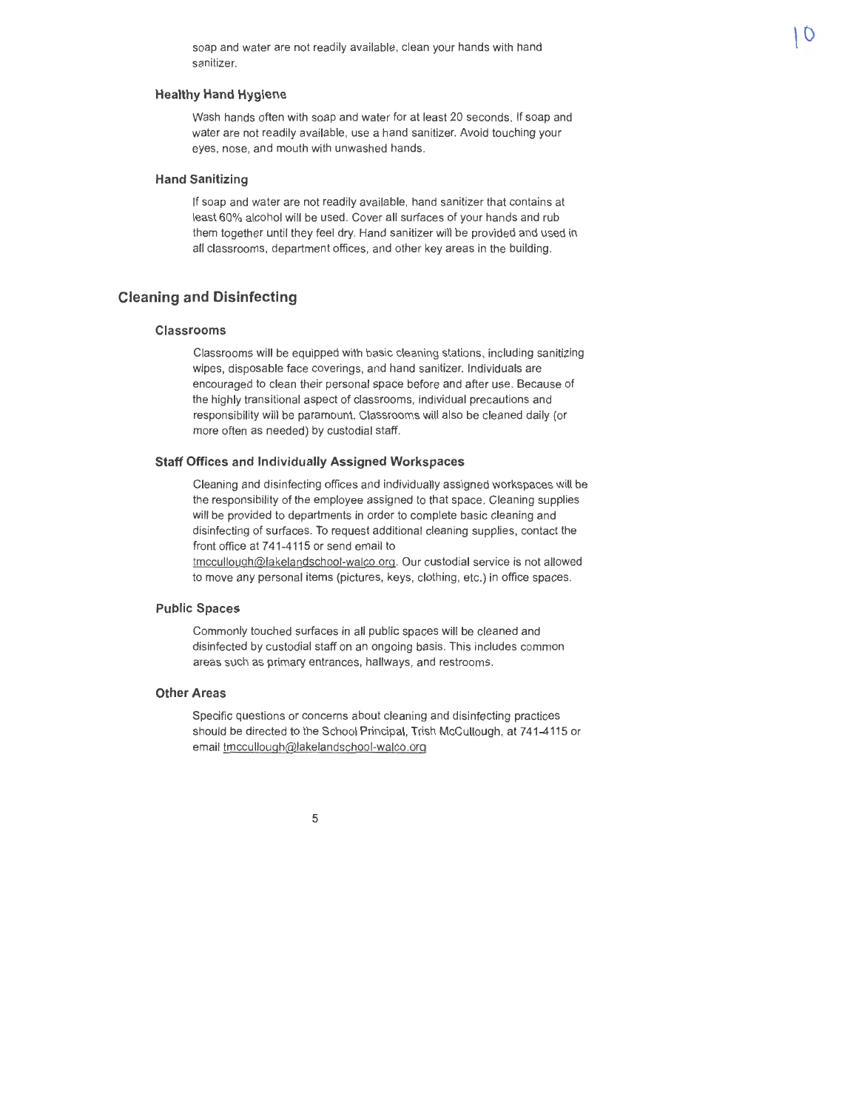soap and water are not readily available, clean your hands with hand sanitizer.

#### **Healthy Hand Hygiene**

Wash hands often with soap and water for at least 20 seconds. If soap and water are not readily available, use a hand sanitizer. Avoid touching your eyes, nose, and mouth with unwashed hands.

#### **Hand Sanitizing**

If soap and water are not readily available, hand sanitizer that contains at least 60% alcohol will be used. Cover all surfaces of your hands and rub them together until they feel dry. Hand sanitizer will be provided and used in all classrooms, department offices, and other key areas in the building.

#### **Cleaning and Disinfecting**

#### **Classrooms**

Classrooms will be equipped with basic cleaning stations, including sanitizing wipes, disposable face coverings, and hand sanitizer. Individuals are encouraged to clean their personal space before and after use. Because of the highly transitional aspect of classrooms, individual precautions and responsibility will be paramount. Classrooms will also be cleaned daily (or more often as needed) by custodial staff.

#### **Staff Offices and Individually Assigned Workspaces**

Cleaning and disinfecting offices and individually assigned workspaces **will** be the responsibility of the employee assigned to that space. Cleaning supplies will be provided to departments in order to complete basic cleaning and disinfecting of surfaces. To request additional cleaning supplies, contact the front office at 741-4115 or send email to

tmccullough@lakelandschool-walco.org. Our custodial service is not allowed to move any personal items (pictures, keys, clothing, etc.) in office spaces.

#### **Public Spaces**

Commonly touched surfaces in all public spaces will be cleaned and disinfected by custodial staff on an ongoing basis. This includes common areas such as primary entrances, hallways, and restrooms.

#### **Other Areas**

Specific questions or concerns about cleaning and disinfecting practices should be directed to the School Principal, Trish McCullough, at 741-4115 or email tmccullough@lakelandschool-walco.org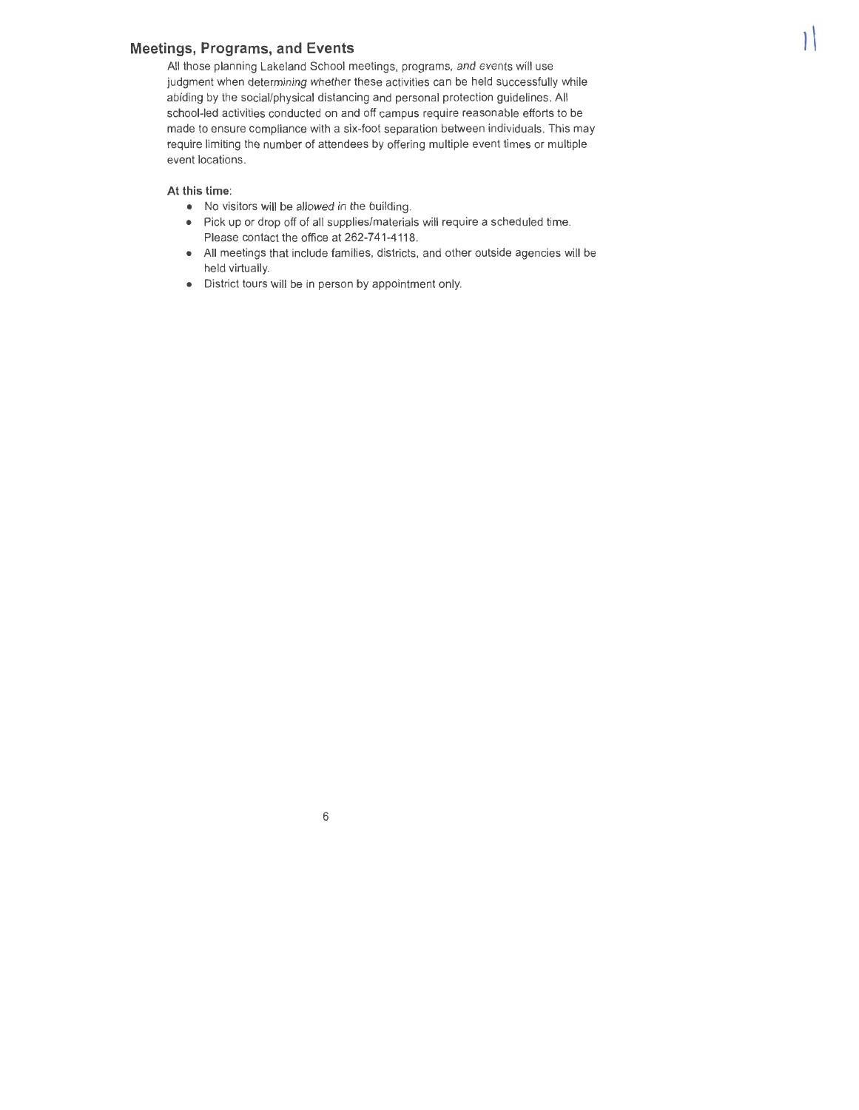### **Meetings, Programs, and Events**

All those planning Lakeland School meetings, programs, and events will use judgment when determining whether these activities can be held successfully while abiding by the social/physical distancing and personal protection guidelines. All school-led activities conducted on and off campus require reasonable efforts to be made to ensure compliance with a six-foot separation between individuals. This may require limiting the number of attendees by offering multiple event times or multiple event locations.

١

#### **At this time:**

- No visitors will be allowed in the building.
- Pick up or drop off of all supplies/materials will require a scheduled time. Please contact the office at 262-741-4118.
- All meetings that include families, districts, and other outside agencies will be held virtually.
- District tours will be in person by appointment only.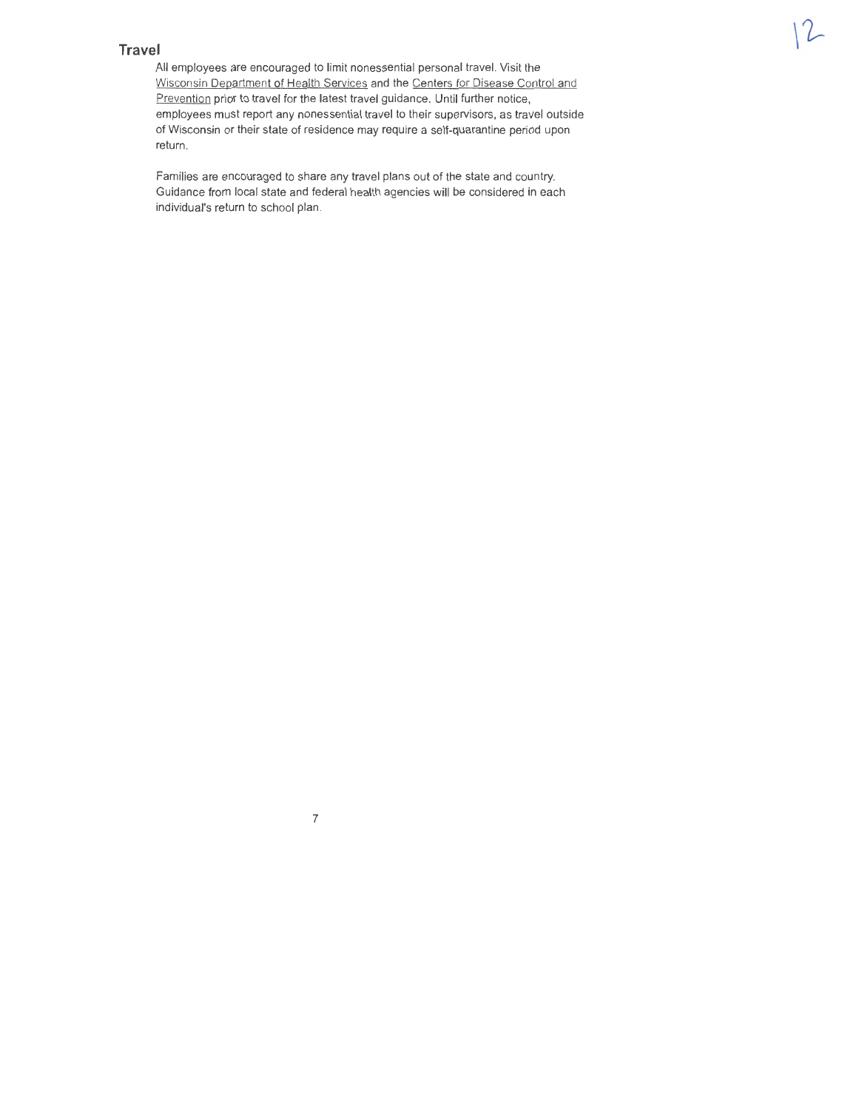### **Travel**

All employees are encouraged to limit nonessential personal travel. Visit the Wisconsin Department of Health Services and the Centers for Disease Control and Prevention prior to travel for the latest travel guidance. Until further notice, employees must report any nonessential travel to their supervisors, as travel outside of Wisconsin or their state of residence may require a self-quarantine period upon return.

Families are encouraged to share any travel plans out of the state and country. Guidance from local state and federal health agencies will be considered in each individual's return to school plan.

7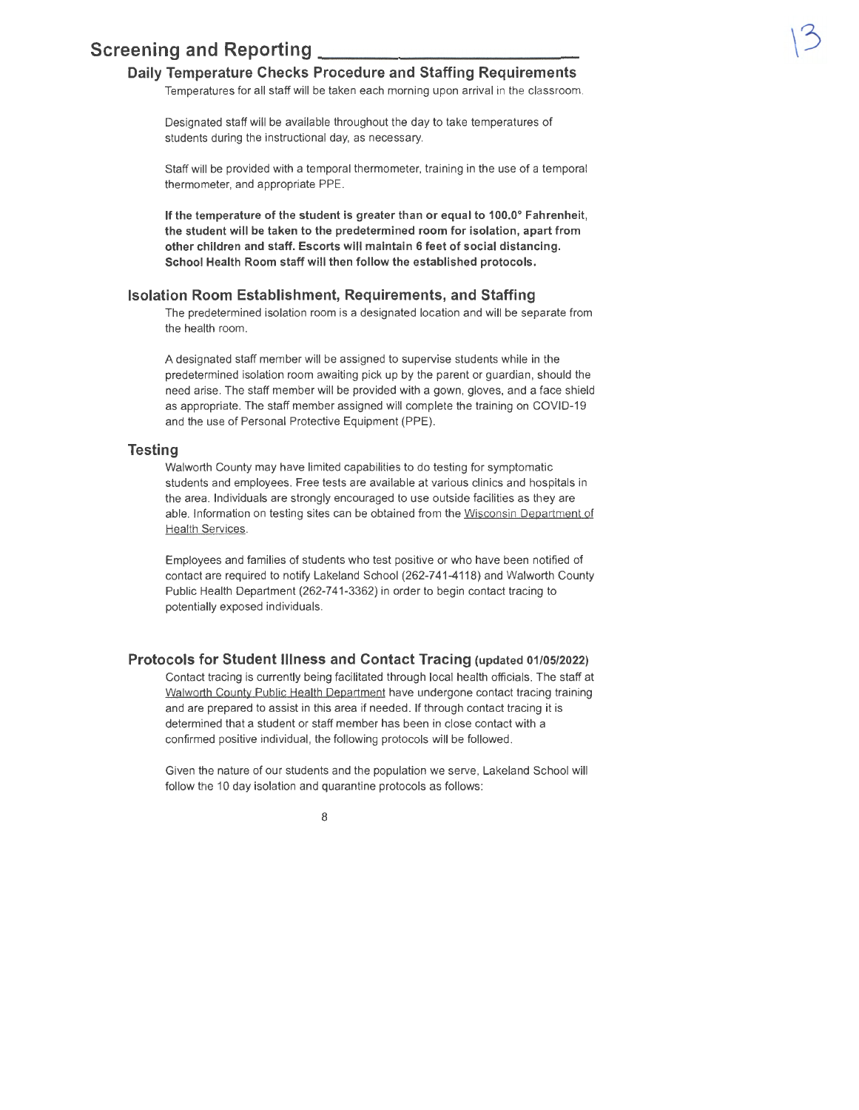### **Screening and Reporting**

### **Daily Temperature Checks Procedure and Staffing Requirements**

Temperatures for all staff will be taken each morning upon arrival in the classroom.

Designated staff will be available throughout the day to take temperatures of students during the instructional day, as necessary.

Staff will be provided with a temporal thermometer, training in the use of a temporal thermometer, and appropriate PPE.

**If the temperature of the student is greater than or equal to 100.0° Fahrenheit, the student will be taken to the predetermined room for isolation, apart from other children and staff. Escorts will maintain 6 feet of social distancing. School Health Room staff will then follow the established protocols.** 

#### **Isolation Room Establishment, Requirements, and Staffing**

The predetermined isolation room is a designated location and will be separate from the health room.

A designated staff member will be assigned to supervise students while in the predetermined isolation room awaiting pick up by the parent or guardian, should the need arise. The staff member will be provided with a gown, gloves, and a face shield as appropriate. The staff member assigned will complete the training on COVID-19 and the use of Personal Protective Equipment (PPE).

#### **Testing**

Walworth County may have limited capabilities to do testing for symptomatic students and employees. Free tests are available at various clinics and hospitals in the area. Individuals are strongly encouraged to use outside facilities as they are able. Information on testing sites can be obtained from the Wisconsin Department of Health Services.

Employees and families of students who test positive or who have been notified of contact are required to notify Lakeland School (262-7 41-4118) and Walworth County Public Health Department (262-741-3362) in order to begin contact tracing to potentially exposed individuals.

#### **Protocols for Student Illness and Contact Tracing (updated 01/05/2022)**

Contact tracing is currently being facilitated through local health officials. The staff at Walworth County Public Health Department have undergone contact tracing training and are prepared to assist in this area if needed. If through contact tracing it is determined that a student or staff member has been in close contact with a confirmed positive individual, the following protocols will be followed .

Given the nature of our students and the population we serve, Lakeland School will follow the 10 day isolation and quarantine protocols as follows: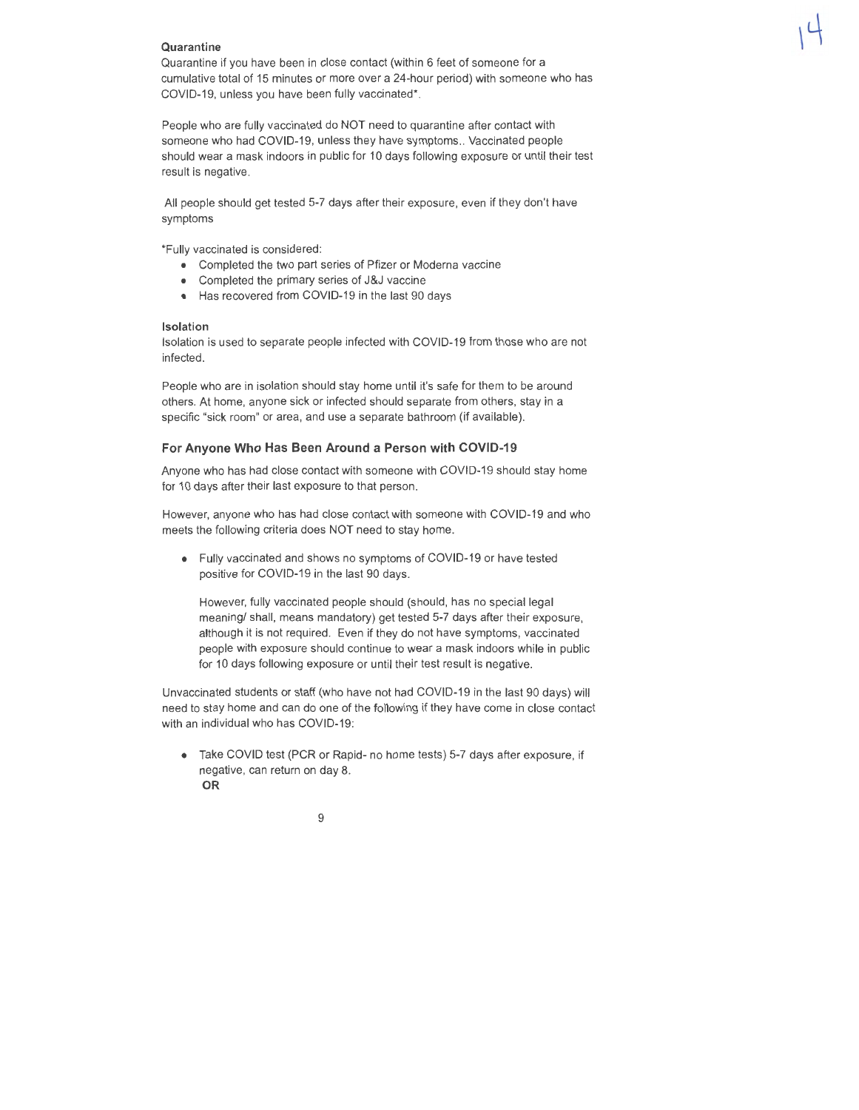#### **Quarantine**

Quarantine if you have been in close contact (within 6 feet of someone for a cumulative total of 15 minutes or more over a 24-hour period) with someone who has COVID-19, unless you have been fully vaccinated\*.

People who are fully vaccinated do NOT need to quarantine after contact with someone who had COVID-19, unless they have symptoms .. Vaccinated people should wear a mask indoors in public for 10 days following exposure or until their test result is negative.

All people should get tested 5-7 days after their exposure, even if they don't have symptoms

\*Fully vaccinated is considered:

- Completed the two part series of Pfizer or Moderna vaccine
- Completed the primary series of J&J vaccine
- Has recovered from COVID-19 in the last 90 days

#### **Isolation**

Isolation is used to separate people infected with COVID-19 from those who are not infected.

People who are in isolation should stay home until it's safe for them to be around others. At home, anyone sick or infected should separate from others, stay in a specific "sick room" or area, and use a separate bathroom (if available).

#### **For Anyone Who Has Been Around a Person with COVID-19**

Anyone who has had close contact with someone with COVID-19 should stay home for 10 days after their last exposure to that person.

However, anyone who has had close contact with someone with COVID-19 and who meets the following criteria does NOT need to stay home.

• Fully vaccinated and shows no symptoms of COVID-19 or have tested positive for COVID-19 in the last 90 days.

However, fully vaccinated people should (should, has no special legal meaning/ shall, means mandatory) get tested 5-7 days after their exposure, although it is not required. Even if they do not have symptoms, vaccinated people with exposure should continue to wear a mask indoors while in public for 10 days following exposure or until their test result is negative.

Unvaccinated students or staff (who have not had COVID-19 in the last 90 days) will need to stay home and can do one of the following if they have come in close contact with an individual who has COVID-19:

• Take COVID test (PCR or Rapid- no home tests) 5-7 days after exposure, if negative, can return on day 8. **OR**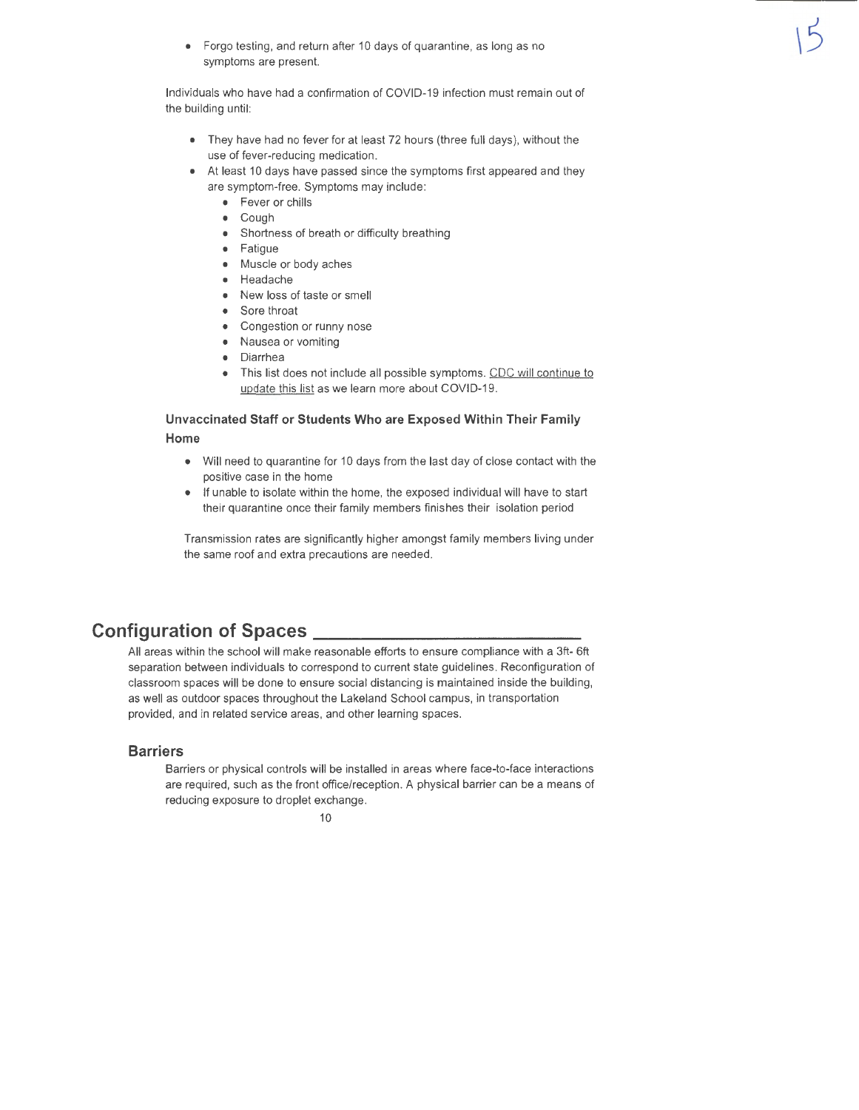• Forgo testing, and return after 10 days of quarantine, as long as no symptoms are present.

Individuals who have had a confirmation of COVID-19 infection must remain out of the building until:

- They have had no fever for at least 72 hours (three full days}, without the use of fever-reducing medication.
- At least 10 days have passed since the symptoms first appeared and they are symptom-free. Symptoms may include:
	- Fever or chills
	- Cough
	- Shortness of breath or difficulty breathing
	- Fatigue
	- Muscle or body aches
	- Headache
	- New loss of taste or smell
	- Sore throat
	- Congestion or runny nose
	- Nausea or vomiting
	- Diarrhea
	- This list does not include all possible symptoms. CDC will continue to update this list as we learn more about COVID-19.

### **Unvaccinated Staff or Students Who are Exposed Within Their Family Home**

- Will need to quarantine for 10 days from the last day of close contact with the positive case in the home
- If unable to isolate within the home, the exposed individual will have to start their quarantine once their family members finishes their isolation period

Transmission rates are significantly higher amongst family members living under the same roof and extra precautions are needed .

### **Configuration of Spaces** \_\_\_\_\_\_\_\_\_\_\_ \_

All areas within the school will make reasonable efforts to ensure compliance with a 3ft- 6ft separation between individuals to correspond to current state guidelines. Reconfiguration of classroom spaces will be done to ensure social distancing is maintained inside the building, as well as outdoor spaces throughout the Lakeland School campus, in transportation provided, and in related service areas, and other learning spaces.

### **Barriers**

Barriers or physical controls will be installed in areas where face-to-face interactions are required, such as the front office/reception . A physical barrier can be a means of reducing exposure to droplet exchange.

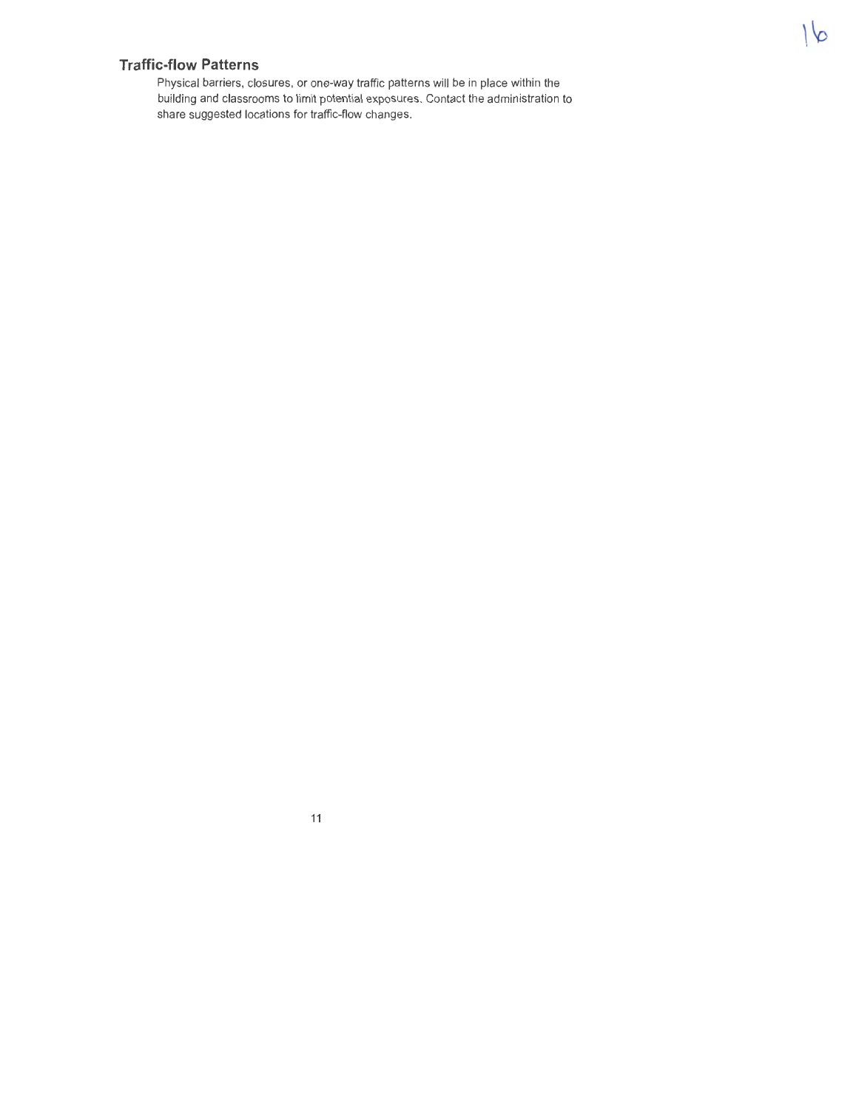### **Traffic-flow Patterns**

Physical barriers, closures, or one-way traffic patterns will be in place within the building and classrooms to limit potential exposures. Contact the administration to share suggested locations for traffic-flow changes.

11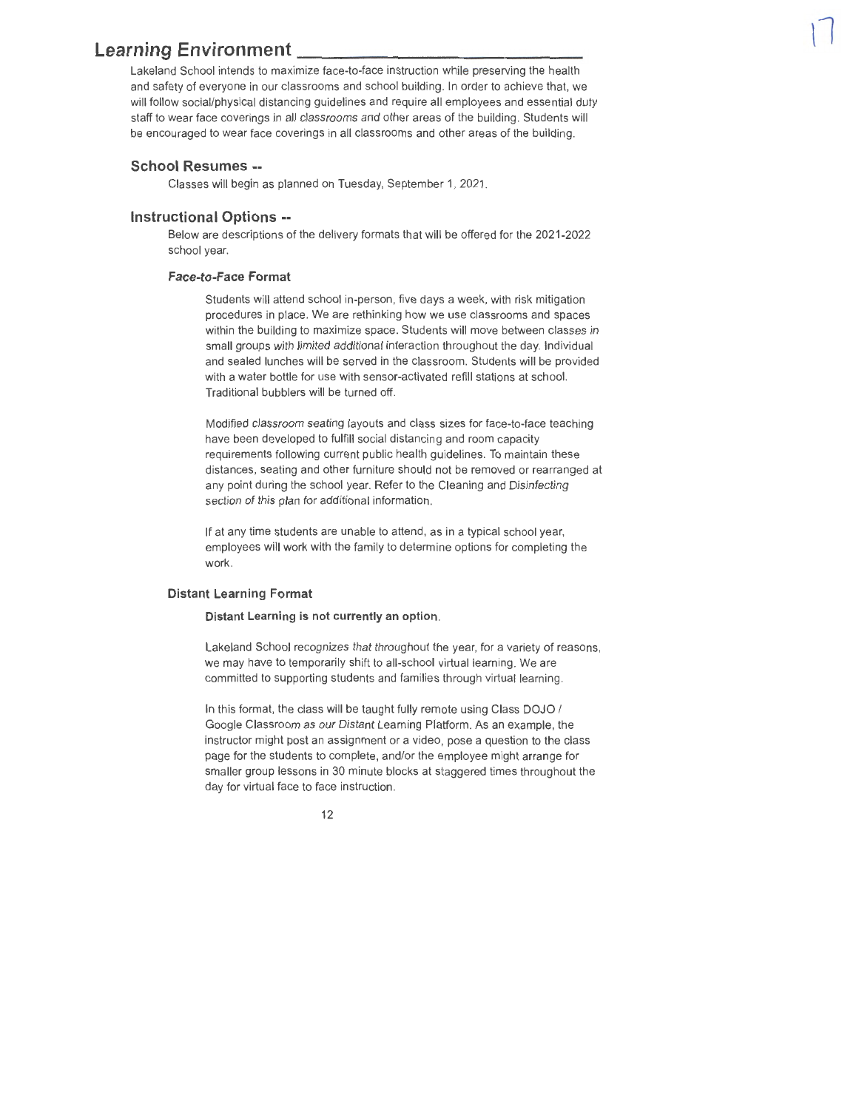### **Learning Environment**

Lakeland School intends to maximize face-to-face instruction while preserving the health and safety of everyone in our classrooms and school building. In order to achieve that, we will follow social/physical distancing guidelines and require all employees and essential duty staff to wear face coverings in all classrooms and other areas of the building. Students will be encouraged to wear face coverings in all classrooms and other areas of the building .

#### **School Resumes** --

Classes will begin as planned on Tuesday, September 1, 2021 .

#### **Instructional Options** --

Below are descriptions of the delivery formats that will be offered for the 2021-2022 school year.

#### **Face-to-Face Format**

Students will attend school in-person, five days a week, with risk mitigation procedures in place. We are rethinking how we use classrooms and spaces within the building to maximize space. Students will move between classes in small groups with limited additional interaction throughout the day. Individual and sealed lunches **will** be served in the classroom. Students will be provided with a water bottle for use with sensor-activated refill stations at school. Traditional bubblers will be turned off.

Modified classroom seating layouts and class sizes for face-to-face teaching have been developed to fulfill social distancing and room capacity requirements following current public health guidelines. To maintain these distances, seating and other furniture should not be removed or rearranged at any point during the school year. Refer to the Cleaning and Disinfecting section of this plan for additional information.

If at any time students are unable to attend, as in a typical school year, employees will work with the family to determine options for completing the work.

#### **Distant Learning Format**

#### **Distant Learning is not currently an option.**

Lakeland School recognizes that throughout the year, for a variety of reasons, we may have to temporarily shift to all-school virtual learning. We are committed to supporting students and families through virtual learning.

In this format, the class will be taught fully remote using Class DOJO / Google Classroom as our Distant Learning Platform. As an example, the instructor might post an assignment or a video, pose a question to the class page for the students to complete, and/or the employee might arrange for smaller group lessons in 30 minute blocks at staggered times throughout the day for virtual face to face instruction.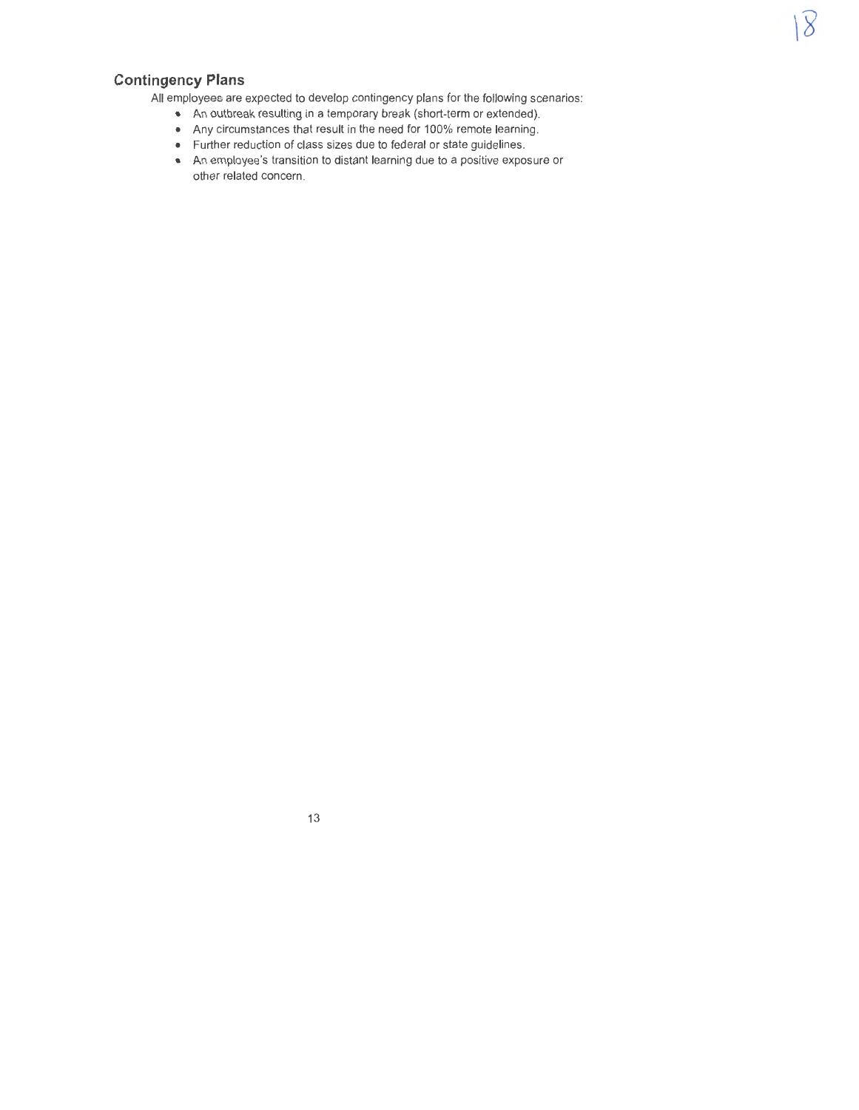### **Contingency Plans**

All employees are expected to develop contingency plans for the following scenarios:

 $\overline{8}$ 

- An outbreak resulting in a temporary break (short-term or extended).
- Any circumstances that result in the need for 100% remote learning.
- Further reduction of class sizes due to federal or state guidelines.
- An employee's transition to distant learning due to a positive exposure or other related concern.

13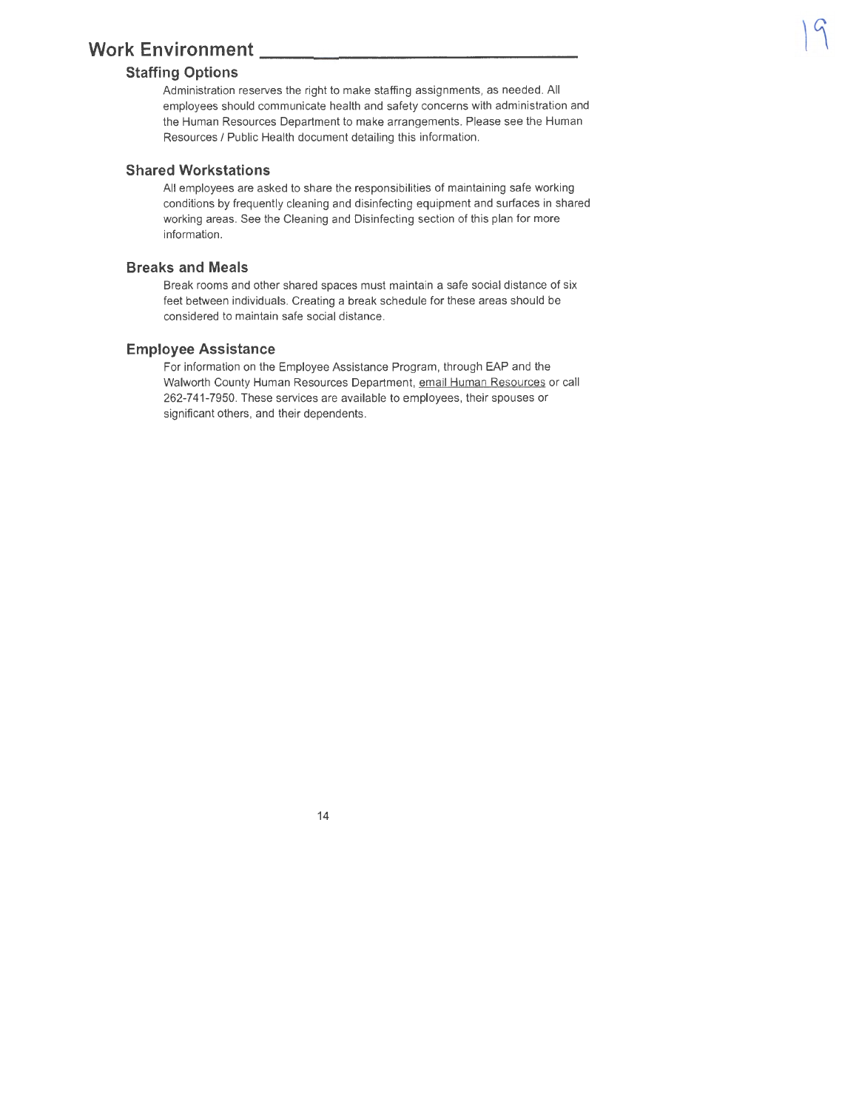# **Work Environment \_\_\_\_\_\_\_\_**<br>Staffing Options

Administration reserves the right to make staffing assignments, as needed. All employees should communicate health and safety concerns with administration and the Human Resources Department to make arrangements. Please see the Human Resources/ Public Health document detailing this information.

### **Shared Workstations**

All employees are asked to share the responsibilities of maintaining safe working conditions by frequently cleaning and disinfecting equipment and surfaces in shared working areas. See the Cleaning and Disinfecting section of this plan for more information.

### **Breaks and Meals**

Break rooms and other shared spaces must maintain a safe social distance of six feet between individuals. Creating a break schedule for these areas should be considered to maintain safe social distance.

#### **Employee Assistance**

For information on the Employee Assistance Program, through EAP and the Walworth County Human Resources Department, email Human Resources or call 262-7 41-7950. These services are available to employees, their spouses or significant others, and their dependents.

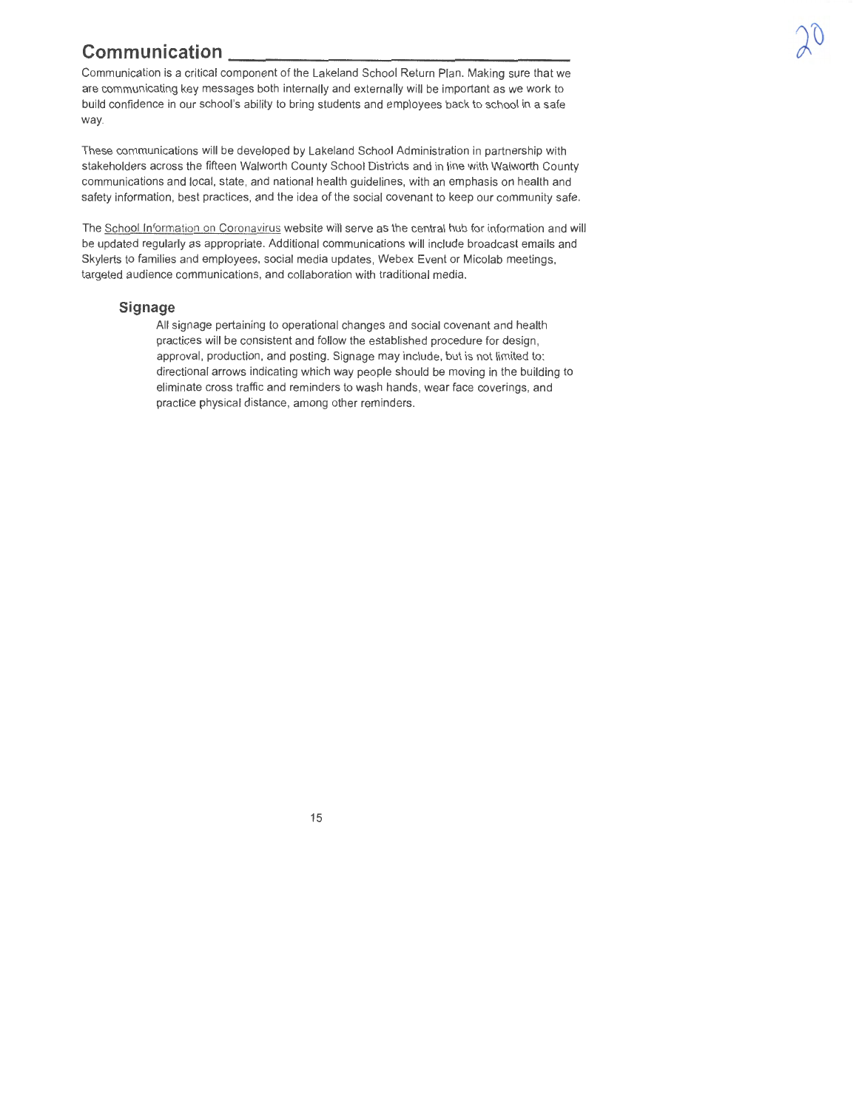**Communication** <br>
Communication is a critical component of the Lakeland School Return Plan. Making sure that we are communicating key messages both internally and externally will be important as we work to build confidence in our school's ability to bring students and employees back to school in a safe way.

These communications will be developed by Lakeland School Administration in partnership with stakeholders across the fifteen Walworth County School Districts and in line with Walworth County communications and local, state, and national health guidelines, with an emphasis on health and safety information, best practices, and the idea of the social covenant to keep our community safe.

The School Information on Coronavirus website will serve as the central hub for information and will be updated regularly as appropriate. Additional communications will include broadcast emails and Skylerts to families and employees, social media updates, Webex Event or Micolab meetings, targeted audience communications, and collaboration with traditional media.

#### **Signage**

All signage pertaining to operational changes and social covenant and health practices will be consistent and follow the established procedure for design, approval, production, and posting. Signage may include, but is not limited to: directional arrows indicating which way people should be moving in the building to eliminate cross traffic and reminders to wash hands, wear face coverings, and practice physical distance, among other reminders.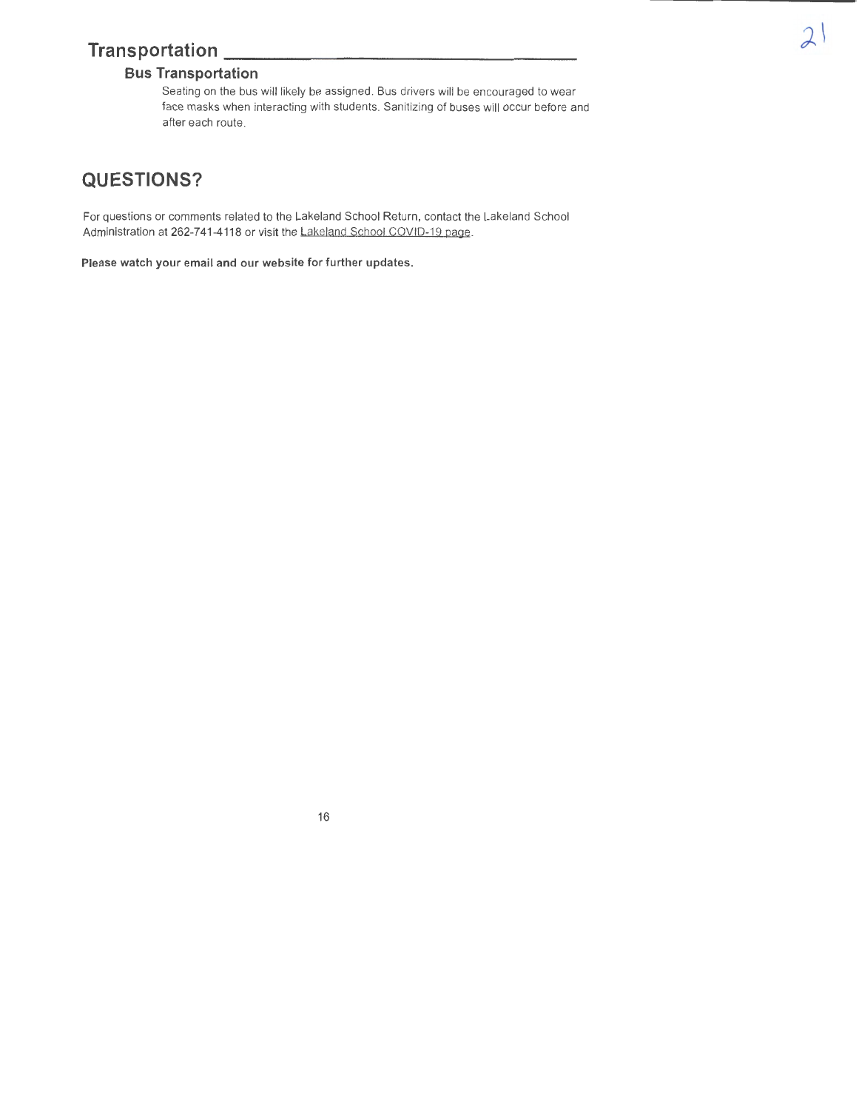### **Transportation \_\_\_\_\_\_\_\_\_\_\_\_\_\_\_ \_**

### **Bus Transportation**

Seating on the bus will likely be assigned. Bus drivers will be encouraged to wear face masks when interacting with students. Sanitizing of buses will occur before and after each route.

### **QUESTIONS?**

For questions or comments related to the Lakeland School Return, contact the Lakeland School Administration at 262-741-4118 or visit the Lakeland School COVID-19 page.

**Please watch your email and our website for further updates.**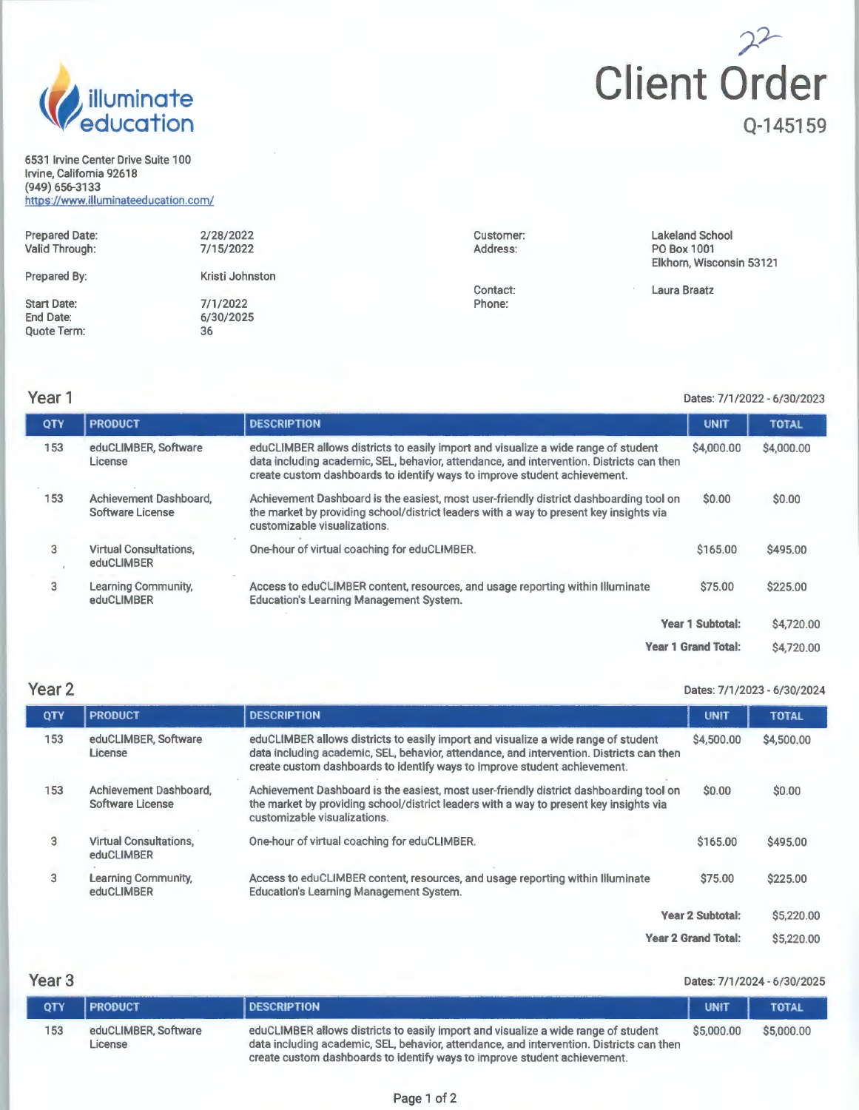

6531 Irvine Center Drive Suite 100 Irvine, California 92618 (949) 656-3133 https://www.illuminateeducation.com/

# )-?- **Client Order Q-145159**

| <b>Prepared Date:</b><br>Valid Through:               | 2/28/2022<br>7/15/2022      | Customer:<br>Address: | <b>Lakeland School</b><br>PO Box 1001<br>Elkhorn, Wisconsin 53121 |
|-------------------------------------------------------|-----------------------------|-----------------------|-------------------------------------------------------------------|
| Prepared By:                                          | Kristi Johnston             |                       |                                                                   |
| <b>Start Date:</b><br>End Date:<br><b>Quote Term:</b> | 7/1/2022<br>6/30/2025<br>36 | Contact:<br>Phone:    | Laura Braatz                                                      |

### **Year1**

#### Dates: 7/1/2022 - 6/30/2023

| QTY | <b>PRODUCT</b>                              | <b>DESCRIPTION</b>                                                                                                                                                                                                                                          | <b>UNIT</b>                | <b>TOTAL</b> |
|-----|---------------------------------------------|-------------------------------------------------------------------------------------------------------------------------------------------------------------------------------------------------------------------------------------------------------------|----------------------------|--------------|
| 153 | eduCLIMBER, Software<br>License             | eduCLIMBER allows districts to easily import and visualize a wide range of student<br>data including academic, SEL, behavior, attendance, and intervention. Districts can then<br>create custom dashboards to identify ways to improve student achievement. | \$4,000.00                 | \$4,000.00   |
| 153 | Achievement Dashboard.<br>Software License  | Achievement Dashboard is the easiest, most user-friendly district dashboarding tool on<br>\$0.00<br>the market by providing school/district leaders with a way to present key insights via<br>customizable visualizations.                                  |                            | \$0.00       |
| 3   | <b>Virtual Consultations.</b><br>eduCLIMBER | One-hour of virtual coaching for eduCLIMBER.                                                                                                                                                                                                                | \$165,00                   | \$495.00     |
| 3   | Learning Community,<br>eduCLIMBER           | Access to eduCLIMBER content, resources, and usage reporting within Illuminate<br><b>Education's Learning Management System.</b>                                                                                                                            | \$75.00                    | \$225.00     |
|     |                                             |                                                                                                                                                                                                                                                             | <b>Year 1 Subtotal:</b>    | \$4,720.00   |
|     |                                             |                                                                                                                                                                                                                                                             | <b>Year 1 Grand Total:</b> | \$4,720.00   |

### **Year2**

#### Dates: 7/1/2023 - 6/30/2024

| Year <sub>2</sub> |                                             |                                                                                                                                                                                                                                                             |                            | Dates: 7/1/2023 - 6/30/2024 |  |
|-------------------|---------------------------------------------|-------------------------------------------------------------------------------------------------------------------------------------------------------------------------------------------------------------------------------------------------------------|----------------------------|-----------------------------|--|
| <b>QTY</b>        | <b>PRODUCT</b>                              | <b>DESCRIPTION</b>                                                                                                                                                                                                                                          | <b>UNIT</b>                | <b>TOTAL</b>                |  |
| 153               | eduCLIMBER, Software<br>License             | eduCLIMBER allows districts to easily import and visualize a wide range of student<br>data including academic, SEL, behavior, attendance, and intervention. Districts can then<br>create custom dashboards to identify ways to improve student achievement. | \$4,500.00                 | \$4,500.00                  |  |
| 153               | Achievement Dashboard.<br>Software License  | Achievement Dashboard is the easiest, most user-friendly district dashboarding tool on<br>the market by providing school/district leaders with a way to present key insights via<br>customizable visualizations.                                            | <b>SO.00</b>               | \$0.00                      |  |
| 3                 | <b>Virtual Consultations.</b><br>eduCLIMBER | One-hour of virtual coaching for eduCLIMBER.                                                                                                                                                                                                                | \$165.00                   | \$495.00                    |  |
| 3                 | Learning Community,<br>eduCLIMBER           | Access to eduCLIMBER content, resources, and usage reporting within Illuminate<br><b>Education's Learning Management System.</b>                                                                                                                            | \$75.00                    | \$225.00                    |  |
|                   |                                             |                                                                                                                                                                                                                                                             | <b>Year 2 Subtotal:</b>    | \$5,220.00                  |  |
|                   |                                             |                                                                                                                                                                                                                                                             | <b>Year 2 Grand Total:</b> | \$5,220.00                  |  |

**Year3** 

| Year $3$   |                                 | Dates: 7/1/2024 - 6/30/2025                                                                                                                                                                                                                                 |             |              |  |
|------------|---------------------------------|-------------------------------------------------------------------------------------------------------------------------------------------------------------------------------------------------------------------------------------------------------------|-------------|--------------|--|
| <b>OTY</b> | I PRODUCT                       | <b>DESCRIPTION</b>                                                                                                                                                                                                                                          | <b>UNIT</b> | <b>TOTAL</b> |  |
| 153        | eduCLIMBER, Software<br>License | eduCLIMBER allows districts to easily import and visualize a wide range of student<br>data including academic, SEL, behavior, attendance, and intervention. Districts can then<br>create custom dashboards to identify ways to improve student achievement. | \$5,000.00  | \$5,000.00   |  |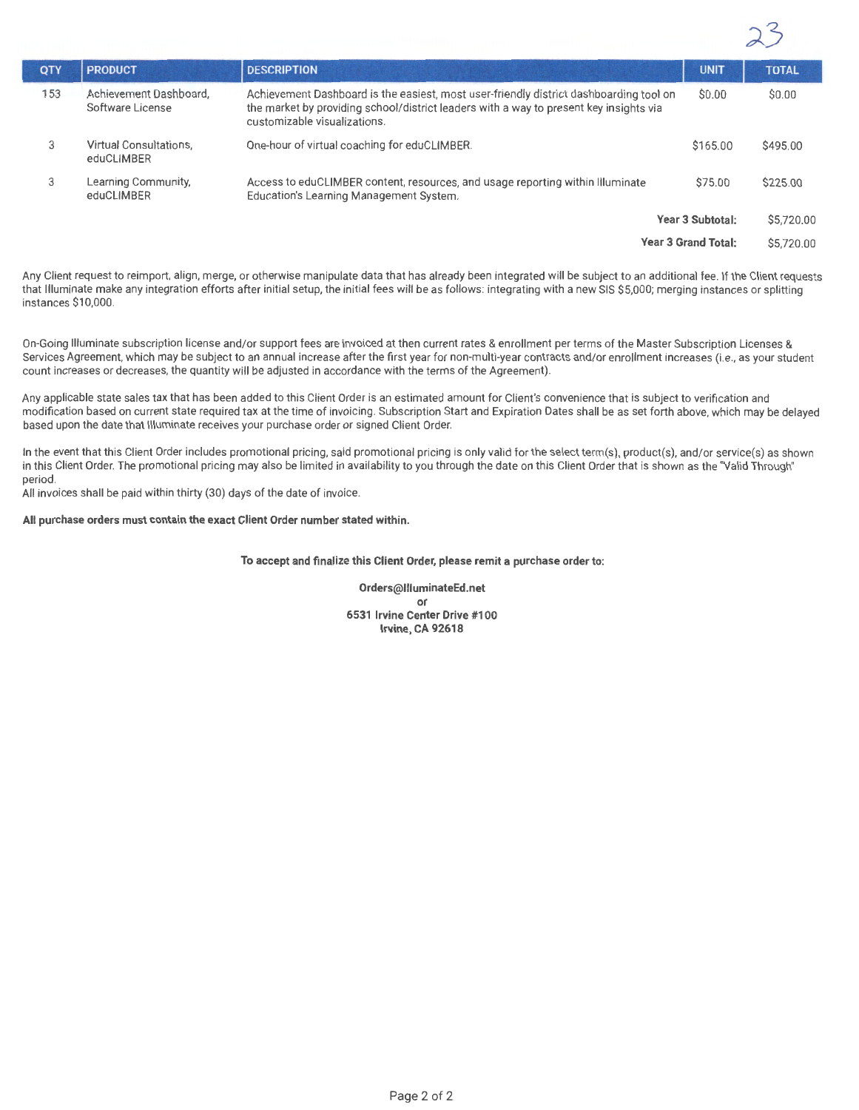| QTY | <b>PRODUCT</b>                              | <b>DESCRIPTION</b>                                                                                                                                                                                               | <b>UNIT</b>                | <b>TOTAL</b> |
|-----|---------------------------------------------|------------------------------------------------------------------------------------------------------------------------------------------------------------------------------------------------------------------|----------------------------|--------------|
| 153 | Achievement Dashboard,<br>Software License  | Achievement Dashboard is the easiest, most user-friendly district dashboarding tool on<br>the market by providing school/district leaders with a way to present key insights via<br>customizable visualizations. | \$0.00                     | \$0.00       |
| 3   | <b>Virtual Consultations.</b><br>eduCLIMBER | One-hour of virtual coaching for eduCLIMBER.                                                                                                                                                                     | \$165.00                   | \$495.00     |
| 3   | Learning Community,<br>eduCLIMBER           | Access to eduCLIMBER content, resources, and usage reporting within Illuminate<br>Education's Learning Management System.                                                                                        | \$75.00                    | \$225.00     |
|     |                                             |                                                                                                                                                                                                                  | Year 3 Subtotal:           | \$5,720.00   |
|     |                                             |                                                                                                                                                                                                                  | <b>Year 3 Grand Total:</b> | \$5,720.00   |

Any Client request to reimport, align, merge, or otherwise manipulate data that has already been integrated **will** be subject to an additional fee. If the Client requests that Illuminate make any integration efforts after initial setup, the initial fees will be as follows: integrating with a new SIS \$5,000; merging instances or splitting instances \$10,000.

On-Going Illuminate subscription license and/or support fees are invoiced at then current rates & enrollment per terms of the Master Subscription Licenses & Services Agreement, which may be subject to an annual increase after the first year for non-multi-year contracts and/or enrollment increases (i.e., as your student count increases or decreases, the quantity will be adjusted in accordance with the terms of the Agreement).

Any applicable state sales tax that has been added to this Client Order is an estimated amount for Client's convenience that is subject to verification and modification based on current state required tax at the time of invoicing. Subscription Start and Expiration Dates shall be as set forth above, which may be delayed based upon the date that Illuminate receives your purchase order or signed Client Order.

In the event that this Client Order includes promotional pricing, said promotional pricing is only valid for the select term(s), product(s), and/or service(s) as shown in this Client Order. The promotional pricing may also be limited in availability to you through the date on this Client Order that is shown as the "Valid Through" period.

All invoices shall be paid within thirty (30) days of the date of invoice.

**All purchase orders must contain the exact Client Order number stated within.** 

**To accept and finalize this Client Order, please remit a purchase order to:** 

**Orders@llluminateEd.net or 6531 Irvine Center Drive #100 Irvine, CA 92618**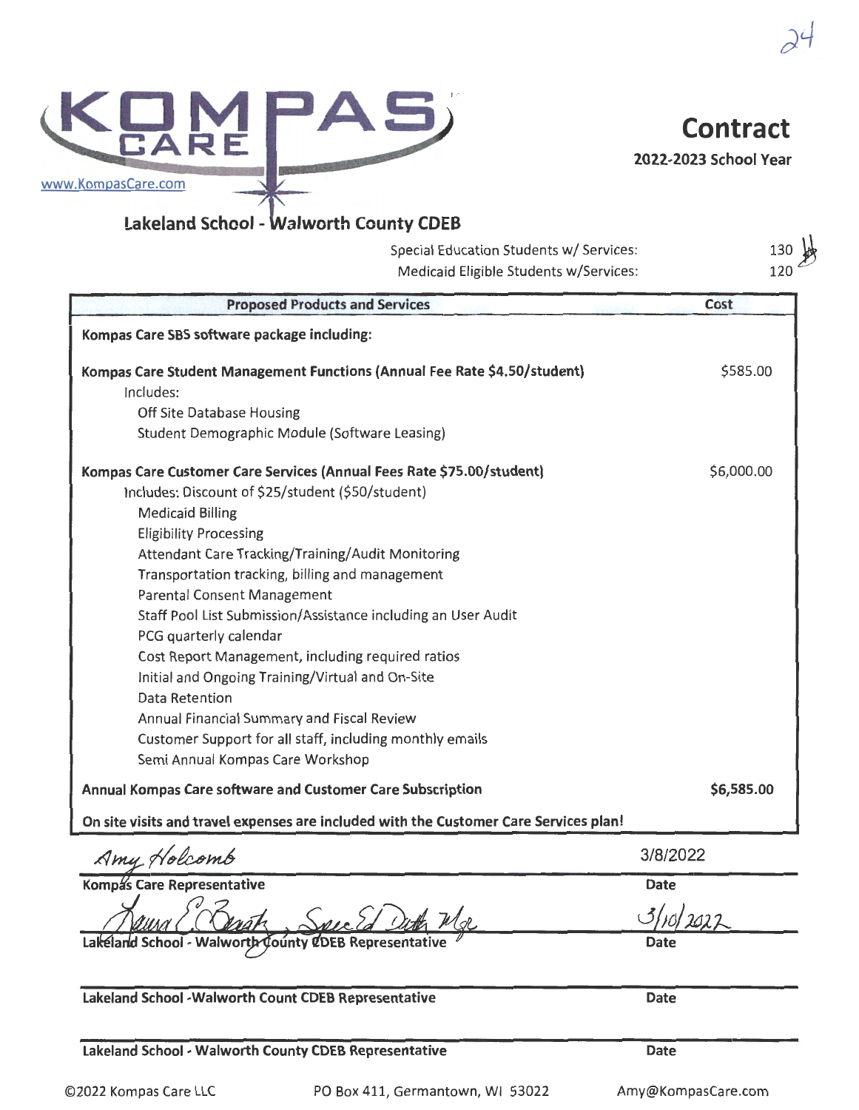KOM PAS Contract

**Lakeland School - Walworth County CDEB** 

www.KompasCare.com

Special Education Students w/ Services: Medicaid Eligible Students w/Services:

| <b>Proposed Products and Services</b>                                                 | Cost       |
|---------------------------------------------------------------------------------------|------------|
| Kompas Care SBS software package including:                                           |            |
| Kompas Care Student Management Functions (Annual Fee Rate \$4.50/student)             | \$585.00   |
| Includes:                                                                             |            |
| Off Site Database Housing                                                             |            |
| Student Demographic Module (Software Leasing)                                         |            |
| Kompas Care Customer Care Services (Annual Fees Rate \$75.00/student)                 | \$6,000.00 |
| Includes: Discount of \$25/student (\$50/student)                                     |            |
| <b>Medicaid Billing</b>                                                               |            |
| <b>Eligibility Processing</b>                                                         |            |
| Attendant Care Tracking/Training/Audit Monitoring                                     |            |
| Transportation tracking, billing and management                                       |            |
| Parental Consent Management                                                           |            |
| Staff Pool List Submission/Assistance including an User Audit                         |            |
| PCG quarterly calendar                                                                |            |
| Cost Report Management, including required ratios                                     |            |
| Initial and Ongoing Training/Virtual and On-Site                                      |            |
| Data Retention                                                                        |            |
| Annual Financial Summary and Fiscal Review                                            |            |
| Customer Support for all staff, including monthly emails                              |            |
| Semi Annual Kompas Care Workshop                                                      |            |
| Annual Kompas Care software and Customer Care Subscription                            | \$6,585.00 |
| On site visits and travel expenses are included with the Customer Care Services plan! |            |
| Amy Holcomb                                                                           | 3/8/2022   |
| <b>Kompas Care Representative</b>                                                     | Date       |
|                                                                                       |            |
| Lakeland School<br>- Walworth County<br>Representative                                | Date       |
|                                                                                       |            |
|                                                                                       |            |

**Lakeland School** - **Walworth County CDEB Representative** 

**Date** 

**Date** 

 $130 + 4$ 120